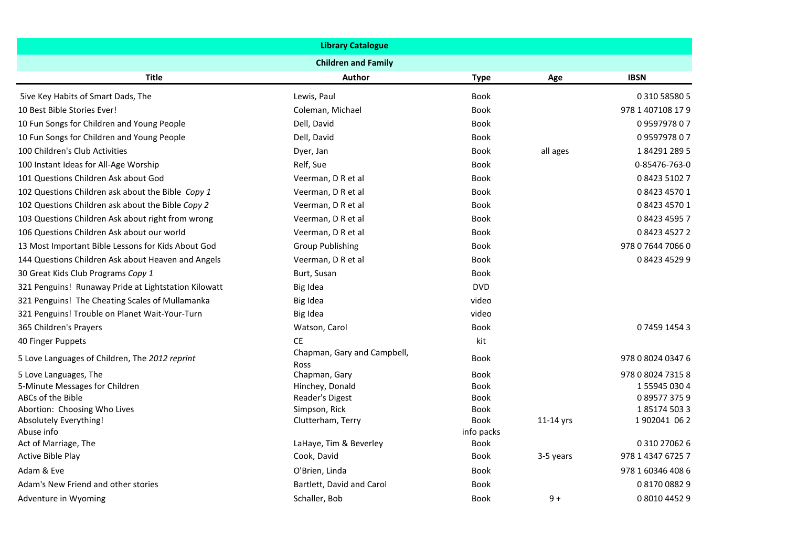| <b>Library Catalogue</b>                               |                                     |                            |           |                           |  |
|--------------------------------------------------------|-------------------------------------|----------------------------|-----------|---------------------------|--|
|                                                        | <b>Children and Family</b>          |                            |           |                           |  |
| <b>Title</b>                                           | Author                              | <b>Type</b>                | Age       | <b>IBSN</b>               |  |
| 5ive Key Habits of Smart Dads, The                     | Lewis, Paul                         | <b>Book</b>                |           | 0 310 58580 5             |  |
| 10 Best Bible Stories Ever!                            | Coleman, Michael                    | <b>Book</b>                |           | 978 1 407108 17 9         |  |
| 10 Fun Songs for Children and Young People             | Dell, David                         | <b>Book</b>                |           | 0959797807                |  |
| 10 Fun Songs for Children and Young People             | Dell, David                         | <b>Book</b>                |           | 0959797807                |  |
| 100 Children's Club Activities                         | Dyer, Jan                           | <b>Book</b>                | all ages  | 1842912895                |  |
| 100 Instant Ideas for All-Age Worship                  | Relf, Sue                           | Book                       |           | 0-85476-763-0             |  |
| 101 Questions Children Ask about God                   | Veerman, D R et al                  | <b>Book</b>                |           | 0 8423 5102 7             |  |
| 102 Questions Children ask about the Bible Copy 1      | Veerman, D R et al                  | <b>Book</b>                |           | 0 8423 4570 1             |  |
| 102 Questions Children ask about the Bible Copy 2      | Veerman, D R et al                  | <b>Book</b>                |           | 0 8423 4570 1             |  |
| 103 Questions Children Ask about right from wrong      | Veerman, D R et al                  | <b>Book</b>                |           | 0842345957                |  |
| 106 Questions Children Ask about our world             | Veerman, D R et al                  | Book                       |           | 0842345272                |  |
| 13 Most Important Bible Lessons for Kids About God     | <b>Group Publishing</b>             | Book                       |           | 978 0 7644 7066 0         |  |
| 144 Questions Children Ask about Heaven and Angels     | Veerman, D R et al                  | <b>Book</b>                |           | 0842345299                |  |
| 30 Great Kids Club Programs Copy 1                     | Burt, Susan                         | <b>Book</b>                |           |                           |  |
| 321 Penguins! Runaway Pride at Lightstation Kilowatt   | Big Idea                            | <b>DVD</b>                 |           |                           |  |
| 321 Penguins! The Cheating Scales of Mullamanka        | Big Idea                            | video                      |           |                           |  |
| 321 Penguins! Trouble on Planet Wait-Your-Turn         | Big Idea                            | video                      |           |                           |  |
| 365 Children's Prayers                                 | Watson, Carol                       | <b>Book</b>                |           | 0745914543                |  |
| 40 Finger Puppets                                      | <b>CE</b>                           | kit                        |           |                           |  |
| 5 Love Languages of Children, The 2012 reprint         | Chapman, Gary and Campbell,<br>Ross | Book                       |           | 978 0 8024 0347 6         |  |
| 5 Love Languages, The                                  | Chapman, Gary                       | <b>Book</b>                |           | 978 0 8024 7315 8         |  |
| 5-Minute Messages for Children                         | Hinchey, Donald                     | <b>Book</b>                |           | 1559450304                |  |
| ABCs of the Bible                                      | Reader's Digest                     | <b>Book</b>                |           | 0895773759                |  |
| Abortion: Choosing Who Lives<br>Absolutely Everything! | Simpson, Rick<br>Clutterham, Terry  | <b>Book</b><br><b>Book</b> | 11-14 yrs | 1851745033<br>1902041 062 |  |
| Abuse info                                             |                                     | info packs                 |           |                           |  |
| Act of Marriage, The                                   | LaHaye, Tim & Beverley              | <b>Book</b>                |           | 0 310 27062 6             |  |
| Active Bible Play                                      | Cook, David                         | <b>Book</b>                | 3-5 years | 978 1 4347 6725 7         |  |
| Adam & Eve                                             | O'Brien, Linda                      | Book                       |           | 978 1 60346 408 6         |  |
| Adam's New Friend and other stories                    | Bartlett, David and Carol           | Book                       |           | 0817008829                |  |
| Adventure in Wyoming                                   | Schaller, Bob                       | <b>Book</b>                | $9+$      | 0801044529                |  |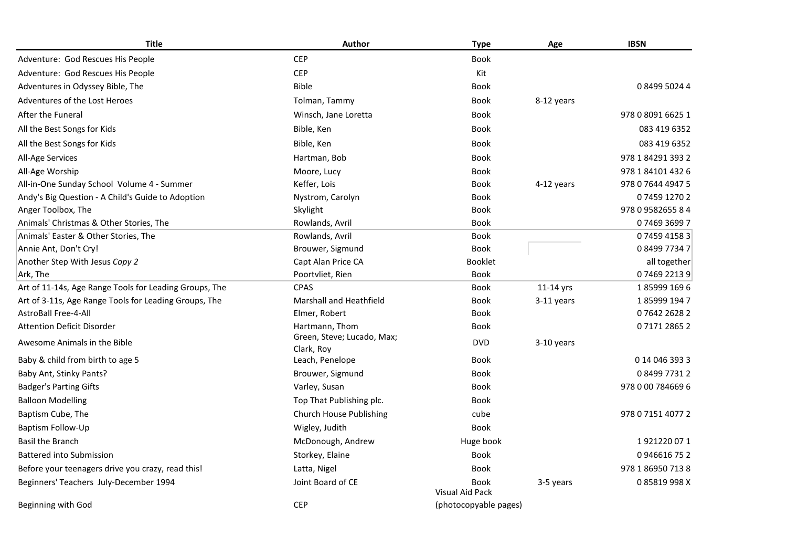| <b>Title</b>                                           | Author                         | <b>Type</b>                    | Age        | <b>IBSN</b>       |
|--------------------------------------------------------|--------------------------------|--------------------------------|------------|-------------------|
| Adventure: God Rescues His People                      | <b>CEP</b>                     | <b>Book</b>                    |            |                   |
| Adventure: God Rescues His People                      | <b>CEP</b>                     | Kit                            |            |                   |
| Adventures in Odyssey Bible, The                       | <b>Bible</b>                   | Book                           |            | 0849950244        |
| Adventures of the Lost Heroes                          | Tolman, Tammy                  | Book                           | 8-12 years |                   |
| After the Funeral                                      | Winsch, Jane Loretta           | Book                           |            | 978 0 8091 6625 1 |
| All the Best Songs for Kids                            | Bible, Ken                     | <b>Book</b>                    |            | 083 419 6352      |
| All the Best Songs for Kids                            | Bible, Ken                     | Book                           |            | 083 419 6352      |
| All-Age Services                                       | Hartman, Bob                   | Book                           |            | 978 1 84291 393 2 |
| All-Age Worship                                        | Moore, Lucy                    | <b>Book</b>                    |            | 978 1 84101 432 6 |
| All-in-One Sunday School Volume 4 - Summer             | Keffer, Lois                   | <b>Book</b>                    | 4-12 years | 978 0 7644 4947 5 |
| Andy's Big Question - A Child's Guide to Adoption      | Nystrom, Carolyn               | Book                           |            | 0745912702        |
| Anger Toolbox, The                                     | Skylight                       | Book                           |            | 978 0 9582655 8 4 |
| Animals' Christmas & Other Stories, The                | Rowlands, Avril                | Book                           |            | 0746936997        |
| Animals' Easter & Other Stories, The                   | Rowlands, Avril                | <b>Book</b>                    |            | 0745941583        |
| Annie Ant, Don't Cry!                                  | Brouwer, Sigmund               | <b>Book</b>                    |            | 0849977347        |
| Another Step With Jesus Copy 2                         | Capt Alan Price CA             | Booklet                        |            | all together      |
| Ark, The                                               | Poortvliet, Rien               | <b>Book</b>                    |            | 0746922139        |
| Art of 11-14s, Age Range Tools for Leading Groups, The | <b>CPAS</b>                    | <b>Book</b>                    | 11-14 yrs  | 1859991696        |
| Art of 3-11s, Age Range Tools for Leading Groups, The  | <b>Marshall and Heathfield</b> | <b>Book</b>                    | 3-11 years | 1859991947        |
| <b>AstroBall Free-4-All</b>                            | Elmer, Robert                  | <b>Book</b>                    |            | 0764226282        |
| <b>Attention Deficit Disorder</b>                      | Hartmann, Thom                 | Book                           |            | 0717128652        |
| Awesome Animals in the Bible                           | Green, Steve; Lucado, Max;     | <b>DVD</b>                     | 3-10 years |                   |
| Baby & child from birth to age 5                       | Clark, Roy<br>Leach, Penelope  | <b>Book</b>                    |            | 0 14 0 46 3 93 3  |
| Baby Ant, Stinky Pants?                                | Brouwer, Sigmund               | Book                           |            | 0849977312        |
| <b>Badger's Parting Gifts</b>                          | Varley, Susan                  | Book                           |            | 978 0 00 784669 6 |
| <b>Balloon Modelling</b>                               | Top That Publishing plc.       | <b>Book</b>                    |            |                   |
| Baptism Cube, The                                      | Church House Publishing        | cube                           |            | 978 0 7151 4077 2 |
| Baptism Follow-Up                                      | Wigley, Judith                 | <b>Book</b>                    |            |                   |
| <b>Basil the Branch</b>                                | McDonough, Andrew              | Huge book                      |            | 1921220071        |
|                                                        |                                |                                |            | 0946616752        |
| <b>Battered into Submission</b>                        | Storkey, Elaine                | <b>Book</b>                    |            |                   |
| Before your teenagers drive you crazy, read this!      | Latta, Nigel                   | <b>Book</b>                    |            | 978 1 86950 713 8 |
| Beginners' Teachers July-December 1994                 | Joint Board of CE              | <b>Book</b><br>Visual Aid Pack | 3-5 years  | 085819998X        |
| Beginning with God                                     | <b>CEP</b>                     | (photocopyable pages)          |            |                   |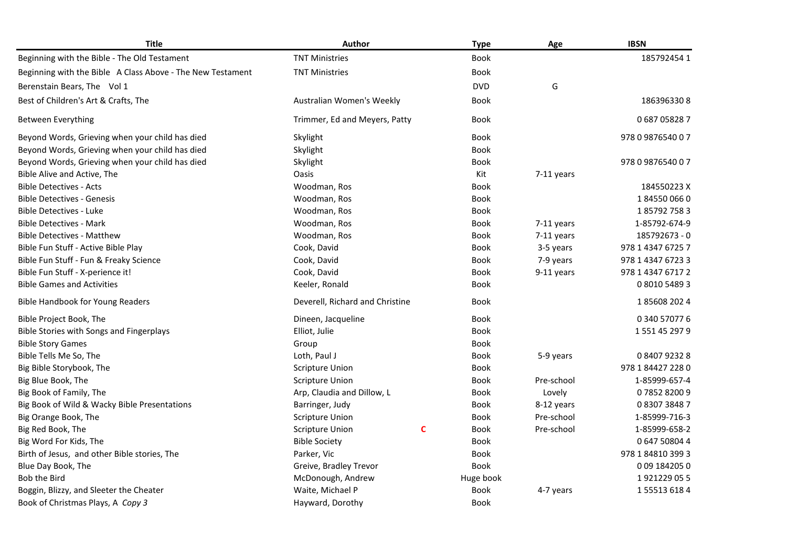| <b>Title</b>                                               | Author                          |   | <b>Type</b> | Age          | <b>IBSN</b>       |
|------------------------------------------------------------|---------------------------------|---|-------------|--------------|-------------------|
| Beginning with the Bible - The Old Testament               | <b>TNT Ministries</b>           |   | <b>Book</b> |              | 1857924541        |
| Beginning with the Bible A Class Above - The New Testament | <b>TNT Ministries</b>           |   | <b>Book</b> |              |                   |
| Berenstain Bears, The Vol 1                                |                                 |   | <b>DVD</b>  | G            |                   |
| Best of Children's Art & Crafts, The                       | Australian Women's Weekly       |   | Book        |              | 1863963308        |
| Between Everything                                         | Trimmer, Ed and Meyers, Patty   |   | Book        |              | 0687058287        |
| Beyond Words, Grieving when your child has died            | Skylight                        |   | <b>Book</b> |              | 978 0 9876540 0 7 |
| Beyond Words, Grieving when your child has died            | Skylight                        |   | <b>Book</b> |              |                   |
| Beyond Words, Grieving when your child has died            | Skylight                        |   | <b>Book</b> |              | 978 0 9876540 0 7 |
| Bible Alive and Active, The                                | <b>Oasis</b>                    |   | Kit         | $7-11$ years |                   |
| <b>Bible Detectives - Acts</b>                             | Woodman, Ros                    |   | Book        |              | 184550223 X       |
| <b>Bible Detectives - Genesis</b>                          | Woodman, Ros                    |   | Book        |              | 1845500660        |
| <b>Bible Detectives - Luke</b>                             | Woodman, Ros                    |   | Book        |              | 1857927583        |
| <b>Bible Detectives - Mark</b>                             | Woodman, Ros                    |   | <b>Book</b> | $7-11$ years | 1-85792-674-9     |
| <b>Bible Detectives - Matthew</b>                          | Woodman, Ros                    |   | <b>Book</b> | 7-11 years   | 185792673 - 0     |
| Bible Fun Stuff - Active Bible Play                        | Cook, David                     |   | Book        | 3-5 years    | 978 1 4347 6725 7 |
| Bible Fun Stuff - Fun & Freaky Science                     | Cook, David                     |   | Book        | 7-9 years    | 978 1 4347 6723 3 |
| Bible Fun Stuff - X-perience it!                           | Cook, David                     |   | Book        | 9-11 years   | 978 1 4347 6717 2 |
| <b>Bible Games and Activities</b>                          | Keeler, Ronald                  |   | Book        |              | 0 8010 5489 3     |
| <b>Bible Handbook for Young Readers</b>                    | Deverell, Richard and Christine |   | <b>Book</b> |              | 1856082024        |
| Bible Project Book, The                                    | Dineen, Jacqueline              |   | <b>Book</b> |              | 0 340 57077 6     |
| Bible Stories with Songs and Fingerplays                   | Elliot, Julie                   |   | <b>Book</b> |              | 1551452979        |
| <b>Bible Story Games</b>                                   | Group                           |   | <b>Book</b> |              |                   |
| Bible Tells Me So, The                                     | Loth, Paul J                    |   | Book        | 5-9 years    | 0840792328        |
| Big Bible Storybook, The                                   | <b>Scripture Union</b>          |   | Book        |              | 978 1 84427 228 0 |
| Big Blue Book, The                                         | <b>Scripture Union</b>          |   | Book        | Pre-school   | 1-85999-657-4     |
| Big Book of Family, The                                    | Arp, Claudia and Dillow, L      |   | <b>Book</b> | Lovely       | 0785282009        |
| Big Book of Wild & Wacky Bible Presentations               | Barringer, Judy                 |   | Book        | 8-12 years   | 0830738487        |
| Big Orange Book, The                                       | <b>Scripture Union</b>          |   | Book        | Pre-school   | 1-85999-716-3     |
| Big Red Book, The                                          | <b>Scripture Union</b>          | C | <b>Book</b> | Pre-school   | 1-85999-658-2     |
| Big Word For Kids, The                                     | <b>Bible Society</b>            |   | Book        |              | 0 647 50804 4     |
| Birth of Jesus, and other Bible stories, The               | Parker, Vic                     |   | <b>Book</b> |              | 978 1 84810 399 3 |
| Blue Day Book, The                                         | Greive, Bradley Trevor          |   | <b>Book</b> |              | 009 1842050       |
| Bob the Bird                                               | McDonough, Andrew               |   | Huge book   |              | 1921229055        |
| Boggin, Blizzy, and Sleeter the Cheater                    | Waite, Michael P                |   | <b>Book</b> | 4-7 years    | 1555136184        |
| Book of Christmas Plays, A Copy 3                          | Hayward, Dorothy                |   | <b>Book</b> |              |                   |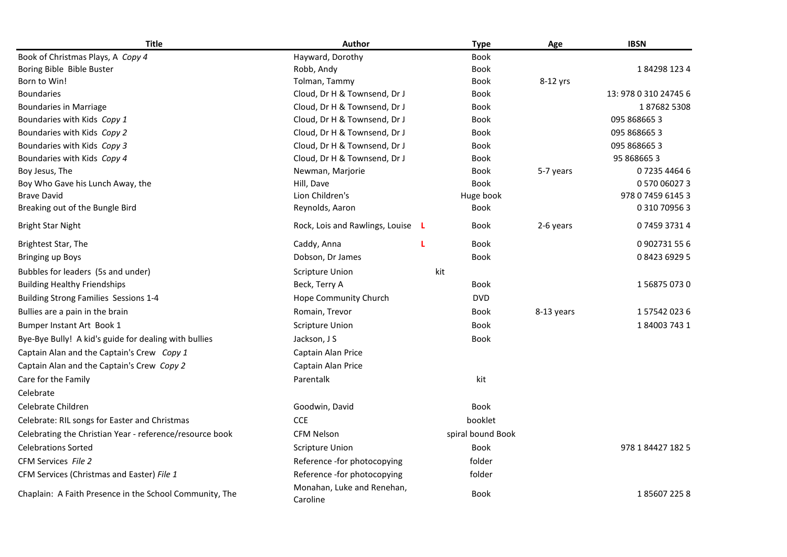| <b>Title</b>                                             | Author                                 | <b>Type</b>       | Age        | <b>IBSN</b>           |
|----------------------------------------------------------|----------------------------------------|-------------------|------------|-----------------------|
| Book of Christmas Plays, A Copy 4                        | Hayward, Dorothy                       | <b>Book</b>       |            |                       |
| Boring Bible Bible Buster                                | Robb, Andy                             | <b>Book</b>       |            | 1842981234            |
| Born to Win!                                             | Tolman, Tammy                          | Book              | 8-12 yrs   |                       |
| <b>Boundaries</b>                                        | Cloud, Dr H & Townsend, Dr J           | Book              |            | 13: 978 0 310 24745 6 |
| <b>Boundaries in Marriage</b>                            | Cloud, Dr H & Townsend, Dr J           | Book              |            | 1876825308            |
| Boundaries with Kids Copy 1                              | Cloud, Dr H & Townsend, Dr J           | <b>Book</b>       |            | 095 8686653           |
| Boundaries with Kids Copy 2                              | Cloud, Dr H & Townsend, Dr J           | <b>Book</b>       |            | 095 868665 3          |
| Boundaries with Kids Copy 3                              | Cloud, Dr H & Townsend, Dr J           | <b>Book</b>       |            | 095 868665 3          |
| Boundaries with Kids Copy 4                              | Cloud, Dr H & Townsend, Dr J           | <b>Book</b>       |            | 95 8686653            |
| Boy Jesus, The                                           | Newman, Marjorie                       | Book              | 5-7 years  | 0723544646            |
| Boy Who Gave his Lunch Away, the                         | Hill, Dave                             | <b>Book</b>       |            | 0 570 06027 3         |
| <b>Brave David</b>                                       | Lion Children's                        | Huge book         |            | 978 0 7459 6145 3     |
| Breaking out of the Bungle Bird                          | Reynolds, Aaron                        | Book              |            | 0 310 70956 3         |
| Bright Star Night                                        | Rock, Lois and Rawlings, Louise L      | Book              | 2-6 years  | 0745937314            |
| Brightest Star, The                                      | Caddy, Anna                            | <b>Book</b>       |            | 0902731556            |
| <b>Bringing up Boys</b>                                  | Dobson, Dr James                       | <b>Book</b>       |            | 0842369295            |
| Bubbles for leaders (5s and under)                       | <b>Scripture Union</b>                 | kit               |            |                       |
| <b>Building Healthy Friendships</b>                      | Beck, Terry A                          | <b>Book</b>       |            | 1568750730            |
| Building Strong Families Sessions 1-4                    | Hope Community Church                  | <b>DVD</b>        |            |                       |
| Bullies are a pain in the brain                          | Romain, Trevor                         | Book              | 8-13 years | 1575420236            |
| Bumper Instant Art Book 1                                | <b>Scripture Union</b>                 | <b>Book</b>       |            | 1840037431            |
| Bye-Bye Bully! A kid's guide for dealing with bullies    | Jackson, J S                           | <b>Book</b>       |            |                       |
| Captain Alan and the Captain's Crew Copy 1               | Captain Alan Price                     |                   |            |                       |
| Captain Alan and the Captain's Crew Copy 2               | Captain Alan Price                     |                   |            |                       |
| Care for the Family                                      | Parentalk                              | kit               |            |                       |
| Celebrate                                                |                                        |                   |            |                       |
| Celebrate Children                                       | Goodwin, David                         | <b>Book</b>       |            |                       |
| Celebrate: RIL songs for Easter and Christmas            | <b>CCE</b>                             | booklet           |            |                       |
| Celebrating the Christian Year - reference/resource book | <b>CFM Nelson</b>                      | spiral bound Book |            |                       |
| <b>Celebrations Sorted</b>                               | <b>Scripture Union</b>                 | Book              |            | 978 1 84427 182 5     |
| CFM Services File 2                                      | Reference -for photocopying            | folder            |            |                       |
| CFM Services (Christmas and Easter) File 1               | Reference -for photocopying            | folder            |            |                       |
| Chaplain: A Faith Presence in the School Community, The  | Monahan, Luke and Renehan,<br>Caroline | <b>Book</b>       |            | 1856072258            |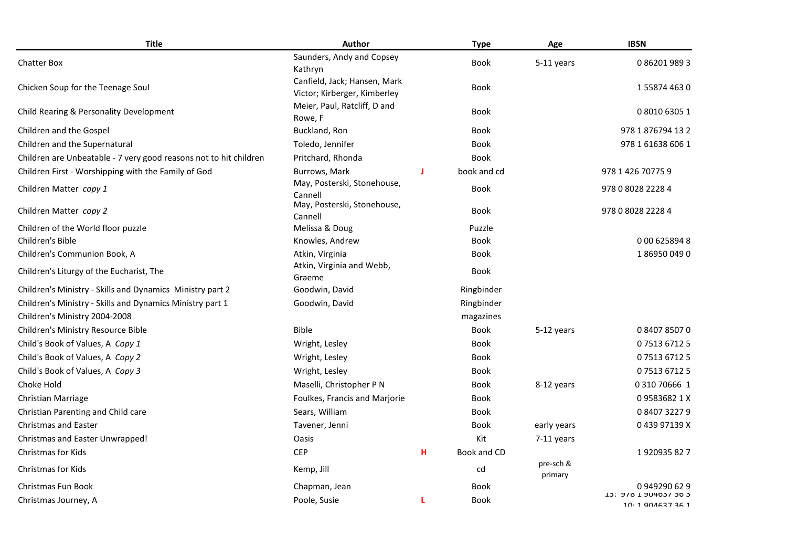| <b>Title</b>                                                      | Author                                                       |   | <b>Type</b> | Age                  | <b>IBSN</b>                                  |
|-------------------------------------------------------------------|--------------------------------------------------------------|---|-------------|----------------------|----------------------------------------------|
| <b>Chatter Box</b>                                                | Saunders, Andy and Copsey<br>Kathryn                         |   | <b>Book</b> | 5-11 years           | 0862019893                                   |
| Chicken Soup for the Teenage Soul                                 | Canfield, Jack; Hansen, Mark<br>Victor; Kirberger, Kimberley |   | <b>Book</b> |                      | 1558744630                                   |
| Child Rearing & Personality Development                           | Meier, Paul, Ratcliff, D and<br>Rowe, F                      |   | Book        |                      | 0 8010 6305 1                                |
| Children and the Gospel                                           | Buckland, Ron                                                |   | <b>Book</b> |                      | 978 1 876794 13 2                            |
| Children and the Supernatural                                     | Toledo, Jennifer                                             |   | <b>Book</b> |                      | 978 1 61638 606 1                            |
| Children are Unbeatable - 7 very good reasons not to hit children | Pritchard, Rhonda                                            |   | <b>Book</b> |                      |                                              |
| Children First - Worshipping with the Family of God               | Burrows, Mark                                                | п | book and cd |                      | 978 1 426 70775 9                            |
| Children Matter copy 1                                            | May, Posterski, Stonehouse,<br>Cannell                       |   | <b>Book</b> |                      | 978 0 8028 2228 4                            |
| Children Matter copy 2                                            | May, Posterski, Stonehouse,<br>Cannell                       |   | Book        |                      | 978 0 8028 2228 4                            |
| Children of the World floor puzzle                                | Melissa & Doug                                               |   | Puzzle      |                      |                                              |
| Children's Bible                                                  | Knowles, Andrew                                              |   | <b>Book</b> |                      | 000 6258948                                  |
| Children's Communion Book, A                                      | Atkin, Virginia                                              |   | Book        |                      | 1869500490                                   |
| Children's Liturgy of the Eucharist, The                          | Atkin, Virginia and Webb,<br>Graeme                          |   | <b>Book</b> |                      |                                              |
| Children's Ministry - Skills and Dynamics Ministry part 2         | Goodwin, David                                               |   | Ringbinder  |                      |                                              |
| Children's Ministry - Skills and Dynamics Ministry part 1         | Goodwin, David                                               |   | Ringbinder  |                      |                                              |
| Children's Ministry 2004-2008                                     |                                                              |   | magazines   |                      |                                              |
| Children's Ministry Resource Bible                                | <b>Bible</b>                                                 |   | <b>Book</b> | 5-12 years           | 0840785070                                   |
| Child's Book of Values, A Copy 1                                  | Wright, Lesley                                               |   | Book        |                      | 0751367125                                   |
| Child's Book of Values, A Copy 2                                  | Wright, Lesley                                               |   | <b>Book</b> |                      | 0751367125                                   |
| Child's Book of Values, A Copy 3                                  | Wright, Lesley                                               |   | <b>Book</b> |                      | 0751367125                                   |
| Choke Hold                                                        | Maselli, Christopher P N                                     |   | <b>Book</b> | 8-12 years           | 0 310 70666 1                                |
| Christian Marriage                                                | Foulkes, Francis and Marjorie                                |   | <b>Book</b> |                      | 095836821X                                   |
| Christian Parenting and Child care                                | Sears, William                                               |   | <b>Book</b> |                      | 0840732279                                   |
| <b>Christmas and Easter</b>                                       | Tavener, Jenni                                               |   | <b>Book</b> | early years          | 043997139X                                   |
| <b>Christmas and Easter Unwrapped!</b>                            | Oasis                                                        |   | Kit         | 7-11 years           |                                              |
| <b>Christmas for Kids</b>                                         | <b>CEP</b>                                                   | н | Book and CD |                      | 1920935827                                   |
| <b>Christmas for Kids</b>                                         | Kemp, Jill                                                   |   | cd          | pre-sch &<br>primary |                                              |
| Christmas Fun Book                                                | Chapman, Jean                                                |   | <b>Book</b> |                      | 0949290629                                   |
| Christmas Journey, A                                              | Poole, Susie                                                 | L | Book        |                      | <b>T2: 210 T 201021 202</b><br>10.1001627261 |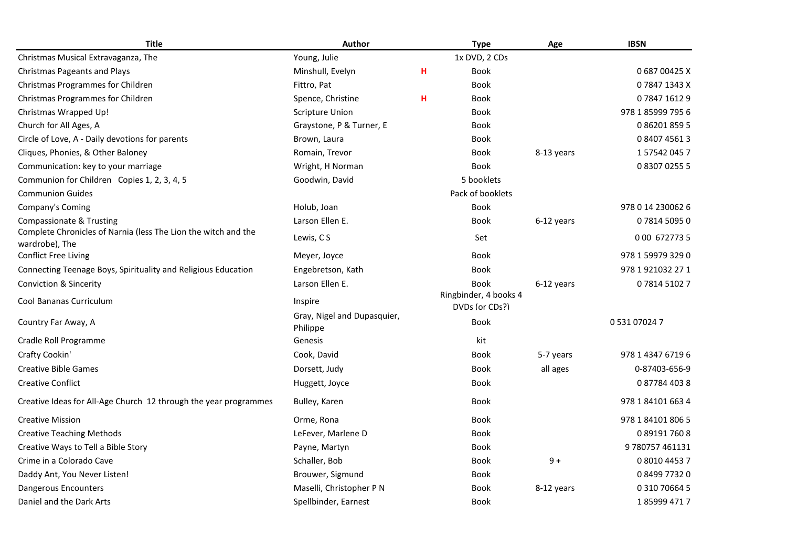| <b>Title</b>                                                                     | <b>Author</b>                           |   | <b>Type</b>                             | Age        | <b>IBSN</b>       |
|----------------------------------------------------------------------------------|-----------------------------------------|---|-----------------------------------------|------------|-------------------|
| Christmas Musical Extravaganza, The                                              | Young, Julie                            |   | 1x DVD, 2 CDs                           |            |                   |
| <b>Christmas Pageants and Plays</b>                                              | Minshull, Evelyn                        | н | <b>Book</b>                             |            | 068700425X        |
| Christmas Programmes for Children                                                | Fittro, Pat                             |   | <b>Book</b>                             |            | 078471343X        |
| Christmas Programmes for Children                                                | Spence, Christine                       | н | <b>Book</b>                             |            | 0784716129        |
| Christmas Wrapped Up!                                                            | <b>Scripture Union</b>                  |   | <b>Book</b>                             |            | 978 1 85999 795 6 |
| Church for All Ages, A                                                           | Graystone, P & Turner, E                |   | <b>Book</b>                             |            | 0862018595        |
| Circle of Love, A - Daily devotions for parents                                  | Brown, Laura                            |   | Book                                    |            | 0840745613        |
| Cliques, Phonies, & Other Baloney                                                | Romain, Trevor                          |   | Book                                    | 8-13 years | 1575420457        |
| Communication: key to your marriage                                              | Wright, H Norman                        |   | <b>Book</b>                             |            | 0830702555        |
| Communion for Children Copies 1, 2, 3, 4, 5                                      | Goodwin, David                          |   | 5 booklets                              |            |                   |
| <b>Communion Guides</b>                                                          |                                         |   | Pack of booklets                        |            |                   |
| Company's Coming                                                                 | Holub, Joan                             |   | <b>Book</b>                             |            | 978 0 14 230062 6 |
| <b>Compassionate &amp; Trusting</b>                                              | Larson Ellen E.                         |   | <b>Book</b>                             | 6-12 years | 0781450950        |
| Complete Chronicles of Narnia (less The Lion the witch and the<br>wardrobe), The | Lewis, CS                               |   | Set                                     |            | 0 00 672773 5     |
| <b>Conflict Free Living</b>                                                      | Meyer, Joyce                            |   | Book                                    |            | 978 1 59979 329 0 |
| Connecting Teenage Boys, Spirituality and Religious Education                    | Engebretson, Kath                       |   | Book                                    |            | 978 1 921032 27 1 |
| <b>Conviction &amp; Sincerity</b>                                                | Larson Ellen E.                         |   | <b>Book</b>                             | 6-12 years | 0781451027        |
| Cool Bananas Curriculum                                                          | Inspire                                 |   | Ringbinder, 4 books 4<br>DVDs (or CDs?) |            |                   |
| Country Far Away, A                                                              | Gray, Nigel and Dupasquier,<br>Philippe |   | <b>Book</b>                             |            | 0 531 07024 7     |
| Cradle Roll Programme                                                            | Genesis                                 |   | kit                                     |            |                   |
| Crafty Cookin'                                                                   | Cook, David                             |   | <b>Book</b>                             | 5-7 years  | 978 1 4347 6719 6 |
| <b>Creative Bible Games</b>                                                      | Dorsett, Judy                           |   | Book                                    | all ages   | 0-87403-656-9     |
| <b>Creative Conflict</b>                                                         | Huggett, Joyce                          |   | Book                                    |            | 0877844038        |
| Creative Ideas for All-Age Church 12 through the year programmes                 | Bulley, Karen                           |   | Book                                    |            | 978 1 84101 663 4 |
| <b>Creative Mission</b>                                                          | Orme, Rona                              |   | Book                                    |            | 978 1 84101 806 5 |
| <b>Creative Teaching Methods</b>                                                 | LeFever, Marlene D                      |   | <b>Book</b>                             |            | 0891917608        |
| Creative Ways to Tell a Bible Story                                              | Payne, Martyn                           |   | Book                                    |            | 9 780757 461131   |
| Crime in a Colorado Cave                                                         | Schaller, Bob                           |   | Book                                    | $9+$       | 0 8010 4453 7     |
| Daddy Ant, You Never Listen!                                                     | Brouwer, Sigmund                        |   | Book                                    |            | 0849977320        |
| Dangerous Encounters                                                             | Maselli, Christopher P N                |   | <b>Book</b>                             | 8-12 years | 0 310 70664 5     |
| Daniel and the Dark Arts                                                         | Spellbinder, Earnest                    |   | Book                                    |            | 1859994717        |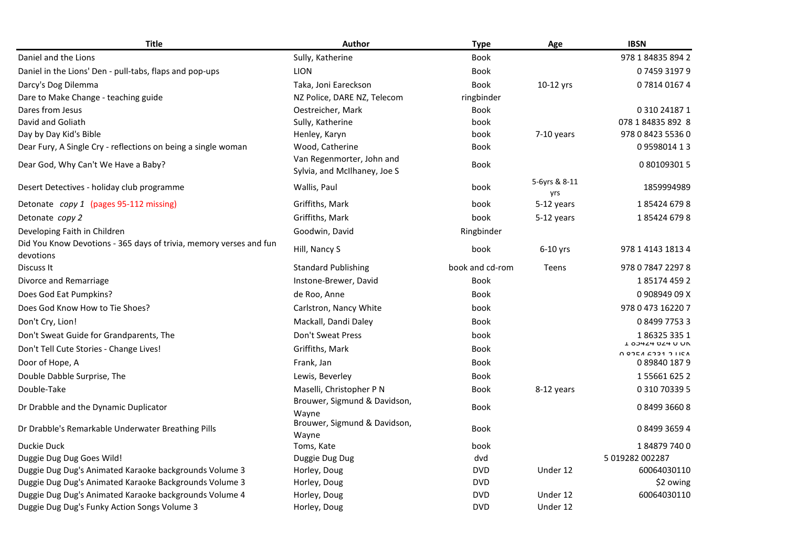| <b>Title</b>                                                                    | <b>Author</b>                                             | <b>Type</b>     | Age                  | <b>IBSN</b>                                                                                                                                                      |
|---------------------------------------------------------------------------------|-----------------------------------------------------------|-----------------|----------------------|------------------------------------------------------------------------------------------------------------------------------------------------------------------|
| Daniel and the Lions                                                            | Sully, Katherine                                          | <b>Book</b>     |                      | 978 1 84835 894 2                                                                                                                                                |
| Daniel in the Lions' Den - pull-tabs, flaps and pop-ups                         | <b>LION</b>                                               | <b>Book</b>     |                      | 0745931979                                                                                                                                                       |
| Darcy's Dog Dilemma                                                             | Taka, Joni Eareckson                                      | <b>Book</b>     | 10-12 yrs            | 0781401674                                                                                                                                                       |
| Dare to Make Change - teaching guide                                            | NZ Police, DARE NZ, Telecom                               | ringbinder      |                      |                                                                                                                                                                  |
| Dares from Jesus                                                                | Oestreicher, Mark                                         | <b>Book</b>     |                      | 0 310 24187 1                                                                                                                                                    |
| David and Goliath                                                               | Sully, Katherine                                          | book            |                      | 078 1 84835 892 8                                                                                                                                                |
| Day by Day Kid's Bible                                                          | Henley, Karyn                                             | book            | 7-10 years           | 978 0 8423 5536 0                                                                                                                                                |
| Dear Fury, A Single Cry - reflections on being a single woman                   | Wood, Catherine                                           | <b>Book</b>     |                      | 0959801413                                                                                                                                                       |
| Dear God, Why Can't We Have a Baby?                                             | Van Regenmorter, John and<br>Sylvia, and McIlhaney, Joe S | <b>Book</b>     |                      | 0 80109301 5                                                                                                                                                     |
| Desert Detectives - holiday club programme                                      | Wallis, Paul                                              | book            | 5-6yrs & 8-11<br>yrs | 1859994989                                                                                                                                                       |
| Detonate copy 1 (pages 95-112 missing)                                          | Griffiths, Mark                                           | book            | 5-12 years           | 1854246798                                                                                                                                                       |
| Detonate copy 2                                                                 | Griffiths, Mark                                           | book            | 5-12 years           | 1854246798                                                                                                                                                       |
| Developing Faith in Children                                                    | Goodwin, David                                            | Ringbinder      |                      |                                                                                                                                                                  |
| Did You Know Devotions - 365 days of trivia, memory verses and fun<br>devotions | Hill, Nancy S                                             | book            | $6-10$ yrs           | 978 1 4143 1813 4                                                                                                                                                |
| Discuss It                                                                      | <b>Standard Publishing</b>                                | book and cd-rom | Teens                | 978 0 7847 2297 8                                                                                                                                                |
| Divorce and Remarriage                                                          | Instone-Brewer, David                                     | <b>Book</b>     |                      | 1851744592                                                                                                                                                       |
| Does God Eat Pumpkins?                                                          | de Roo, Anne                                              | <b>Book</b>     |                      | 0 908949 09 X                                                                                                                                                    |
| Does God Know How to Tie Shoes?                                                 | Carlstron, Nancy White                                    | book            |                      | 978 0 473 16220 7                                                                                                                                                |
| Don't Cry, Lion!                                                                | Mackall, Dandi Daley                                      | <b>Book</b>     |                      | 0849977533                                                                                                                                                       |
| Don't Sweat Guide for Grandparents, The                                         | Don't Sweat Press                                         | book            |                      | 1863253351                                                                                                                                                       |
| Don't Tell Cute Stories - Change Lives!                                         | Griffiths, Mark                                           | <b>Book</b>     |                      | <b>I 90424 024 U UN</b><br>$\bigcap$ One $\bigcap$ $\bigcap$ $\bigcap$ $\bigcap$ $\bigcap$ $\bigcap$ $\bigcap$ $\bigcap$ $\bigcap$ $\bigcap$ $\bigcap$ $\bigcap$ |
| Door of Hope, A                                                                 | Frank, Jan                                                | <b>Book</b>     |                      | 0898401879                                                                                                                                                       |
| Double Dabble Surprise, The                                                     | Lewis, Beverley                                           | Book            |                      | 1556616252                                                                                                                                                       |
| Double-Take                                                                     | Maselli, Christopher P N                                  | <b>Book</b>     | 8-12 years           | 0 310 70339 5                                                                                                                                                    |
| Dr Drabble and the Dynamic Duplicator                                           | Brouwer, Sigmund & Davidson,<br>Wavne                     | <b>Book</b>     |                      | 0849936608                                                                                                                                                       |
| Dr Drabble's Remarkable Underwater Breathing Pills                              | Brouwer, Sigmund & Davidson,<br>Wayne                     | Book            |                      | 0849936594                                                                                                                                                       |
| Duckie Duck                                                                     | Toms, Kate                                                | book            |                      | 1848797400                                                                                                                                                       |
| Duggie Dug Dug Goes Wild!                                                       | Duggie Dug Dug                                            | dvd             |                      | 5 019282 002287                                                                                                                                                  |
| Duggie Dug Dug's Animated Karaoke backgrounds Volume 3                          | Horley, Doug                                              | <b>DVD</b>      | Under 12             | 60064030110                                                                                                                                                      |
| Duggie Dug Dug's Animated Karaoke Backgrounds Volume 3                          | Horley, Doug                                              | <b>DVD</b>      |                      | \$2 owing                                                                                                                                                        |
| Duggie Dug Dug's Animated Karaoke backgrounds Volume 4                          | Horley, Doug                                              | <b>DVD</b>      | Under 12             | 60064030110                                                                                                                                                      |
| Duggie Dug Dug's Funky Action Songs Volume 3                                    | Horley, Doug                                              | <b>DVD</b>      | Under 12             |                                                                                                                                                                  |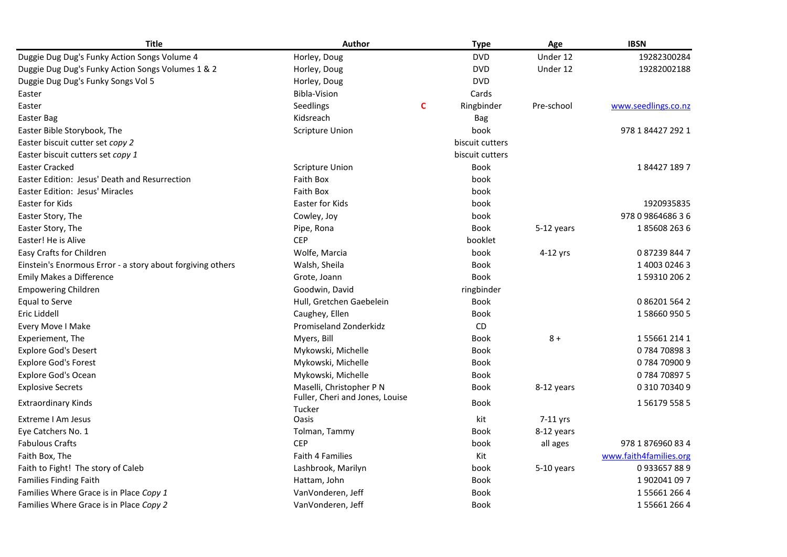| <b>Title</b>                                               | <b>Author</b>                             |   | <b>Type</b>     | Age        | <b>IBSN</b>            |
|------------------------------------------------------------|-------------------------------------------|---|-----------------|------------|------------------------|
| Duggie Dug Dug's Funky Action Songs Volume 4               | Horley, Doug                              |   | <b>DVD</b>      | Under 12   | 19282300284            |
| Duggie Dug Dug's Funky Action Songs Volumes 1 & 2          | Horley, Doug                              |   | <b>DVD</b>      | Under 12   | 19282002188            |
| Duggie Dug Dug's Funky Songs Vol 5                         | Horley, Doug                              |   | <b>DVD</b>      |            |                        |
| Easter                                                     | <b>Bibla-Vision</b>                       |   | Cards           |            |                        |
| Easter                                                     | Seedlings                                 | C | Ringbinder      | Pre-school | www.seedlings.co.nz    |
| Easter Bag                                                 | Kidsreach                                 |   | <b>Bag</b>      |            |                        |
| Easter Bible Storybook, The                                | <b>Scripture Union</b>                    |   | book            |            | 978 1 84427 292 1      |
| Easter biscuit cutter set copy 2                           |                                           |   | biscuit cutters |            |                        |
| Easter biscuit cutters set copy 1                          |                                           |   | biscuit cutters |            |                        |
| <b>Easter Cracked</b>                                      | <b>Scripture Union</b>                    |   | <b>Book</b>     |            | 1844271897             |
| Easter Edition: Jesus' Death and Resurrection              | <b>Faith Box</b>                          |   | book            |            |                        |
| <b>Easter Edition: Jesus' Miracles</b>                     | Faith Box                                 |   | book            |            |                        |
| Easter for Kids                                            | Easter for Kids                           |   | book            |            | 1920935835             |
| Easter Story, The                                          | Cowley, Joy                               |   | book            |            | 978 0 9864686 3 6      |
| Easter Story, The                                          | Pipe, Rona                                |   | <b>Book</b>     | 5-12 years | 1856082636             |
| Easter! He is Alive                                        | <b>CEP</b>                                |   | booklet         |            |                        |
| Easy Crafts for Children                                   | Wolfe, Marcia                             |   | book            | 4-12 yrs   | 0872398447             |
| Einstein's Enormous Error - a story about forgiving others | Walsh, Sheila                             |   | <b>Book</b>     |            | 1 4003 0246 3          |
| Emily Makes a Difference                                   | Grote, Joann                              |   | <b>Book</b>     |            | 1593102062             |
| <b>Empowering Children</b>                                 | Goodwin, David                            |   | ringbinder      |            |                        |
| Equal to Serve                                             | Hull, Gretchen Gaebelein                  |   | Book            |            | 0 86201 564 2          |
| Eric Liddell                                               | Caughey, Ellen                            |   | <b>Book</b>     |            | 1586609505             |
| Every Move I Make                                          | Promiseland Zonderkidz                    |   | CD              |            |                        |
| Experiement, The                                           | Myers, Bill                               |   | Book            | $8+$       | 1556612141             |
| <b>Explore God's Desert</b>                                | Mykowski, Michelle                        |   | Book            |            | 0784708983             |
| <b>Explore God's Forest</b>                                | Mykowski, Michelle                        |   | Book            |            | 0784709009             |
| <b>Explore God's Ocean</b>                                 | Mykowski, Michelle                        |   | <b>Book</b>     |            | 0784708975             |
| <b>Explosive Secrets</b>                                   | Maselli, Christopher P N                  |   | <b>Book</b>     | 8-12 years | 0 310 70340 9          |
| <b>Extraordinary Kinds</b>                                 | Fuller, Cheri and Jones, Louise<br>Tucker |   | <b>Book</b>     |            | 1561795585             |
| Extreme I Am Jesus                                         | Oasis                                     |   | kit             | 7-11 yrs   |                        |
| Eye Catchers No. 1                                         | Tolman, Tammy                             |   | <b>Book</b>     | 8-12 years |                        |
| <b>Fabulous Crafts</b>                                     | <b>CEP</b>                                |   | book            | all ages   | 978 1 876960 83 4      |
| Faith Box, The                                             | <b>Faith 4 Families</b>                   |   | Kit             |            | www.faith4families.org |
| Faith to Fight! The story of Caleb                         | Lashbrook, Marilyn                        |   | book            | 5-10 years | 0933657889             |
| <b>Families Finding Faith</b>                              | Hattam, John                              |   | <b>Book</b>     |            | 1902041097             |
| Families Where Grace is in Place Copy 1                    | VanVonderen, Jeff                         |   | Book            |            | 1556612664             |
| Families Where Grace is in Place Copy 2                    | VanVonderen, Jeff                         |   | Book            |            | 1556612664             |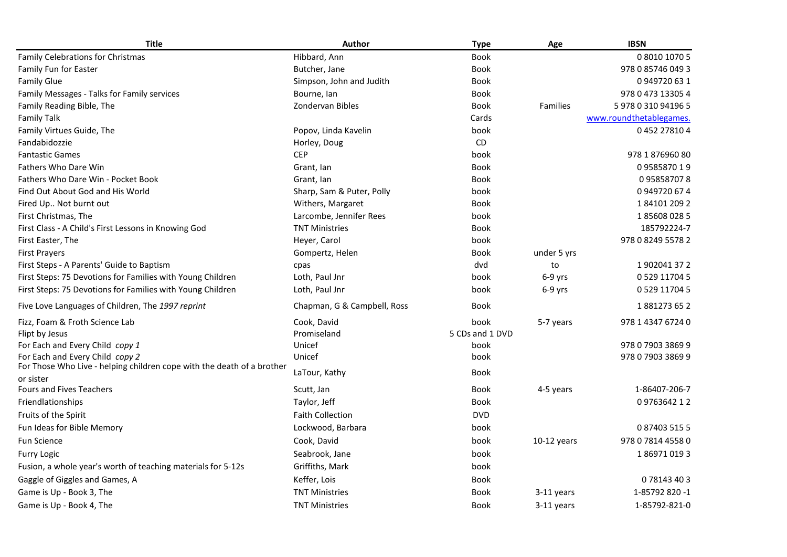| <b>Title</b>                                                           | <b>Author</b>               | <b>Type</b>     | Age             | <b>IBSN</b>             |
|------------------------------------------------------------------------|-----------------------------|-----------------|-----------------|-------------------------|
| Family Celebrations for Christmas                                      | Hibbard, Ann                | <b>Book</b>     |                 | 0 8010 1070 5           |
| Family Fun for Easter                                                  | Butcher, Jane               | <b>Book</b>     |                 | 978 0 85746 049 3       |
| <b>Family Glue</b>                                                     | Simpson, John and Judith    | <b>Book</b>     |                 | 0949720631              |
| Family Messages - Talks for Family services                            | Bourne, lan                 | Book            |                 | 978 0 473 13305 4       |
| Family Reading Bible, The                                              | Zondervan Bibles            | <b>Book</b>     | <b>Families</b> | 5 978 0 310 94196 5     |
| <b>Family Talk</b>                                                     |                             | Cards           |                 | www.roundthetablegames. |
| Family Virtues Guide, The                                              | Popov, Linda Kavelin        | book            |                 | 0452278104              |
| Fandabidozzie                                                          | Horley, Doug                | CD              |                 |                         |
| <b>Fantastic Games</b>                                                 | <b>CEP</b>                  | book            |                 | 978 1 876960 80         |
| Fathers Who Dare Win                                                   | Grant, lan                  | Book            |                 | 0958587019              |
| Fathers Who Dare Win - Pocket Book                                     | Grant, lan                  | Book            |                 | 0958587078              |
| Find Out About God and His World                                       | Sharp, Sam & Puter, Polly   | book            |                 | 0949720674              |
| Fired Up Not burnt out                                                 | Withers, Margaret           | <b>Book</b>     |                 | 1841012092              |
| First Christmas, The                                                   | Larcombe, Jennifer Rees     | book            |                 | 1856080285              |
| First Class - A Child's First Lessons in Knowing God                   | <b>TNT Ministries</b>       | <b>Book</b>     |                 | 185792224-7             |
| First Easter, The                                                      | Heyer, Carol                | book            |                 | 978 0 8249 5578 2       |
| <b>First Prayers</b>                                                   | Gompertz, Helen             | Book            | under 5 yrs     |                         |
| First Steps - A Parents' Guide to Baptism                              | cpas                        | dvd             | to              | 1902041372              |
| First Steps: 75 Devotions for Families with Young Children             | Loth, Paul Jnr              | book            | $6-9$ yrs       | 0 529 11704 5           |
| First Steps: 75 Devotions for Families with Young Children             | Loth, Paul Jnr              | book            | $6-9$ yrs       | 0 5 29 1 1 7 0 4 5      |
| Five Love Languages of Children, The 1997 reprint                      | Chapman, G & Campbell, Ross | Book            |                 | 1881273652              |
| Fizz, Foam & Froth Science Lab                                         | Cook, David                 | book            | 5-7 years       | 978 1 4347 6724 0       |
| Flipt by Jesus                                                         | Promiseland                 | 5 CDs and 1 DVD |                 |                         |
| For Each and Every Child copy 1                                        | Unicef                      | book            |                 | 978 0 7903 3869 9       |
| For Each and Every Child copy 2                                        | Unicef                      | book            |                 | 978 0 7903 3869 9       |
| For Those Who Live - helping children cope with the death of a brother | LaTour, Kathy               | <b>Book</b>     |                 |                         |
| or sister<br>Fours and Fives Teachers                                  | Scutt, Jan                  | Book            | 4-5 years       | 1-86407-206-7           |
| Friendlationships                                                      | Taylor, Jeff                | <b>Book</b>     |                 | 0976364212              |
| Fruits of the Spirit                                                   | <b>Faith Collection</b>     | <b>DVD</b>      |                 |                         |
| Fun Ideas for Bible Memory                                             | Lockwood, Barbara           | book            |                 | 0874035155              |
| <b>Fun Science</b>                                                     | Cook, David                 | book            | $10-12$ years   | 978 0 7814 4558 0       |
| Furry Logic                                                            | Seabrook, Jane              | book            |                 | 1869710193              |
| Fusion, a whole year's worth of teaching materials for 5-12s           | Griffiths, Mark             | book            |                 |                         |
| Gaggle of Giggles and Games, A                                         | Keffer, Lois                | <b>Book</b>     |                 | 078143403               |
| Game is Up - Book 3, The                                               | <b>TNT Ministries</b>       | <b>Book</b>     | 3-11 years      | 1-85792 820 -1          |
| Game is Up - Book 4, The                                               | <b>TNT Ministries</b>       | <b>Book</b>     | 3-11 years      | 1-85792-821-0           |
|                                                                        |                             |                 |                 |                         |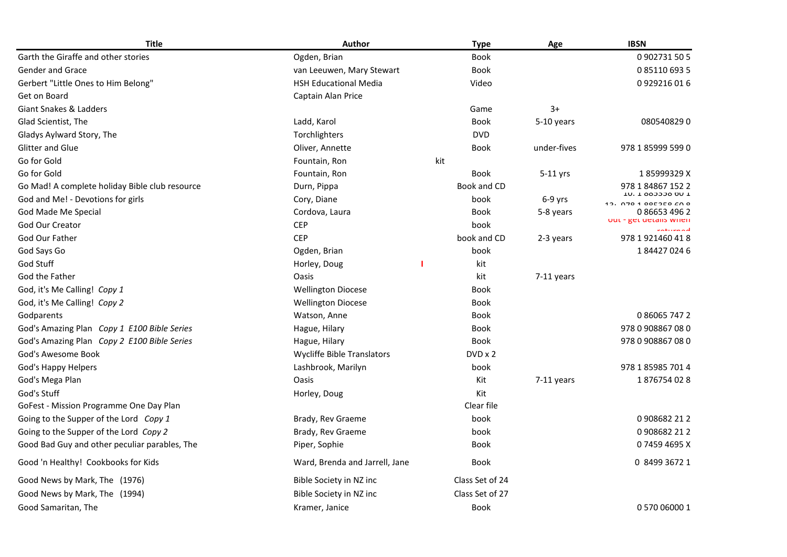| <b>Title</b>                                   | Author                            |     | <b>Type</b>     | Age          | <b>IBSN</b>                           |
|------------------------------------------------|-----------------------------------|-----|-----------------|--------------|---------------------------------------|
| Garth the Giraffe and other stories            | Ogden, Brian                      |     | Book            |              | 0902731505                            |
| <b>Gender and Grace</b>                        | van Leeuwen, Mary Stewart         |     | <b>Book</b>     |              | 0851106935                            |
| Gerbert "Little Ones to Him Belong"            | <b>HSH Educational Media</b>      |     | Video           |              | 0929216016                            |
| Get on Board                                   | Captain Alan Price                |     |                 |              |                                       |
| Giant Snakes & Ladders                         |                                   |     | Game            | $3+$         |                                       |
| Glad Scientist, The                            | Ladd, Karol                       |     | <b>Book</b>     | 5-10 years   | 0805408290                            |
| Gladys Aylward Story, The                      | Torchlighters                     |     | <b>DVD</b>      |              |                                       |
| <b>Glitter and Glue</b>                        | Oliver, Annette                   |     | <b>Book</b>     | under-fives  | 978 1 85999 599 0                     |
| Go for Gold                                    | Fountain, Ron                     | kit |                 |              |                                       |
| Go for Gold                                    | Fountain, Ron                     |     | <b>Book</b>     | $5-11$ yrs   | 185999329X                            |
| Go Mad! A complete holiday Bible club resource | Durn, Pippa                       |     | Book and CD     |              | 978 1 84867 152 2                     |
| God and Me! - Devotions for girls              | Cory, Diane                       |     | book            | $6-9$ yrs    | TO: T 993339 DO T<br>12.0701000000000 |
| God Made Me Special                            | Cordova, Laura                    |     | Book            | 5-8 years    | 0 86653 496 2                         |
| <b>God Our Creator</b>                         | <b>CEP</b>                        |     | book            |              | out - get details writen<br>maturnad  |
| God Our Father                                 | <b>CEP</b>                        |     | book and CD     | 2-3 years    | 978 1 921460 41 8                     |
| God Says Go                                    | Ogden, Brian                      |     | book            |              | 1844270246                            |
| God Stuff                                      | Horley, Doug                      |     | kit             |              |                                       |
| God the Father                                 | <b>Oasis</b>                      |     | kit             | $7-11$ years |                                       |
| God, it's Me Calling! Copy 1                   | <b>Wellington Diocese</b>         |     | <b>Book</b>     |              |                                       |
| God, it's Me Calling! Copy 2                   | <b>Wellington Diocese</b>         |     | <b>Book</b>     |              |                                       |
| Godparents                                     | Watson, Anne                      |     | <b>Book</b>     |              | 0860657472                            |
| God's Amazing Plan Copy 1 E100 Bible Series    | Hague, Hilary                     |     | <b>Book</b>     |              | 978 0 908867 08 0                     |
| God's Amazing Plan Copy 2 E100 Bible Series    | Hague, Hilary                     |     | <b>Book</b>     |              | 978 0 908867 08 0                     |
| God's Awesome Book                             | <b>Wycliffe Bible Translators</b> |     | $DVD \times 2$  |              |                                       |
| God's Happy Helpers                            | Lashbrook, Marilyn                |     | book            |              | 978 1 85985 701 4                     |
| God's Mega Plan                                | Oasis                             |     | Kit             | $7-11$ years | 1876754028                            |
| God's Stuff                                    | Horley, Doug                      |     | Kit             |              |                                       |
| GoFest - Mission Programme One Day Plan        |                                   |     | Clear file      |              |                                       |
| Going to the Supper of the Lord Copy 1         | Brady, Rev Graeme                 |     | book            |              | 0908682212                            |
| Going to the Supper of the Lord Copy 2         | Brady, Rev Graeme                 |     | book            |              | 0908682 212                           |
| Good Bad Guy and other peculiar parables, The  | Piper, Sophie                     |     | <b>Book</b>     |              | 074594695X                            |
| Good 'n Healthy! Cookbooks for Kids            | Ward, Brenda and Jarrell, Jane    |     | <b>Book</b>     |              | 0 8499 3672 1                         |
| Good News by Mark, The (1976)                  | Bible Society in NZ inc           |     | Class Set of 24 |              |                                       |
| Good News by Mark, The (1994)                  | Bible Society in NZ inc           |     | Class Set of 27 |              |                                       |
| Good Samaritan, The                            | Kramer, Janice                    |     | <b>Book</b>     |              | 0 570 06000 1                         |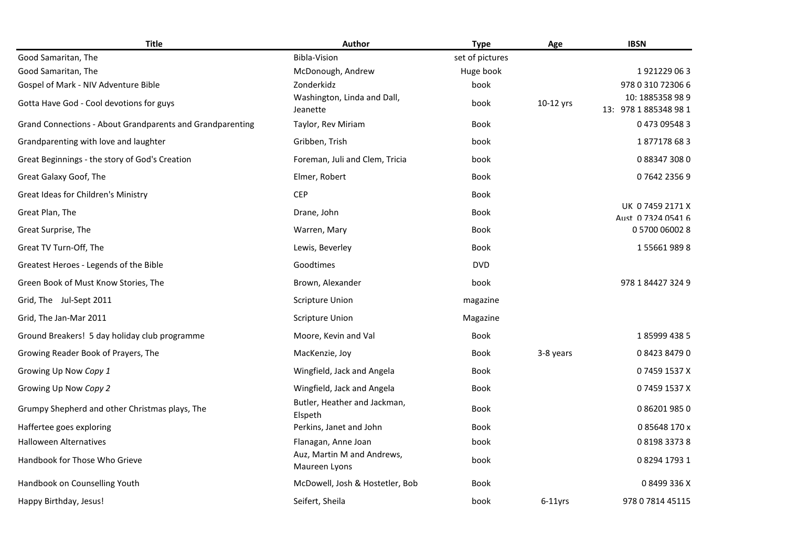| <b>Title</b>                                              | Author                                      | <b>Type</b>     | Age        | <b>IBSN</b>                            |
|-----------------------------------------------------------|---------------------------------------------|-----------------|------------|----------------------------------------|
| Good Samaritan, The                                       | <b>Bibla-Vision</b>                         | set of pictures |            |                                        |
| Good Samaritan, The                                       | McDonough, Andrew                           | Huge book       |            | 1921229063                             |
| Gospel of Mark - NIV Adventure Bible                      | Zonderkidz                                  | book            |            | 978 0 310 72306 6                      |
| Gotta Have God - Cool devotions for guys                  | Washington, Linda and Dall,<br>Jeanette     | book            | 10-12 yrs  | 10:1885358989<br>13: 978 1 885348 98 1 |
| Grand Connections - About Grandparents and Grandparenting | Taylor, Rev Miriam                          | <b>Book</b>     |            | 0473095483                             |
| Grandparenting with love and laughter                     | Gribben, Trish                              | book            |            | 1877178683                             |
| Great Beginnings - the story of God's Creation            | Foreman, Juli and Clem, Tricia              | book            |            | 0883473080                             |
| Great Galaxy Goof, The                                    | Elmer, Robert                               | <b>Book</b>     |            | 0764223569                             |
| Great Ideas for Children's Ministry                       | <b>CEP</b>                                  | <b>Book</b>     |            |                                        |
| Great Plan, The                                           | Drane, John                                 | <b>Book</b>     |            | UK 07459 2171 X<br>Aust 0 7324 0541 6  |
| Great Surprise, The                                       | Warren, Mary                                | <b>Book</b>     |            | 0 5700 06002 8                         |
| Great TV Turn-Off, The                                    | Lewis, Beverley                             | <b>Book</b>     |            | 1556619898                             |
| Greatest Heroes - Legends of the Bible                    | Goodtimes                                   | <b>DVD</b>      |            |                                        |
| Green Book of Must Know Stories, The                      | Brown, Alexander                            | book            |            | 978 1 84427 324 9                      |
| Grid, The Jul-Sept 2011                                   | <b>Scripture Union</b>                      | magazine        |            |                                        |
| Grid, The Jan-Mar 2011                                    | <b>Scripture Union</b>                      | Magazine        |            |                                        |
| Ground Breakers! 5 day holiday club programme             | Moore, Kevin and Val                        | Book            |            | 1859994385                             |
| Growing Reader Book of Prayers, The                       | MacKenzie, Joy                              | <b>Book</b>     | 3-8 years  | 0842384790                             |
| Growing Up Now Copy 1                                     | Wingfield, Jack and Angela                  | <b>Book</b>     |            | 07459 1537 X                           |
| Growing Up Now Copy 2                                     | Wingfield, Jack and Angela                  | <b>Book</b>     |            | 07459 1537 X                           |
| Grumpy Shepherd and other Christmas plays, The            | Butler, Heather and Jackman,<br>Elspeth     | Book            |            | 0862019850                             |
| Haffertee goes exploring                                  | Perkins, Janet and John                     | <b>Book</b>     |            | 085648170x                             |
| <b>Halloween Alternatives</b>                             | Flanagan, Anne Joan                         | book            |            | 0819833738                             |
| Handbook for Those Who Grieve                             | Auz, Martin M and Andrews,<br>Maureen Lyons | book            |            | 0829417931                             |
| Handbook on Counselling Youth                             | McDowell, Josh & Hostetler, Bob             | <b>Book</b>     |            | 08499336X                              |
| Happy Birthday, Jesus!                                    | Seifert, Sheila                             | book            | $6-11$ vrs | 978 0 7814 45115                       |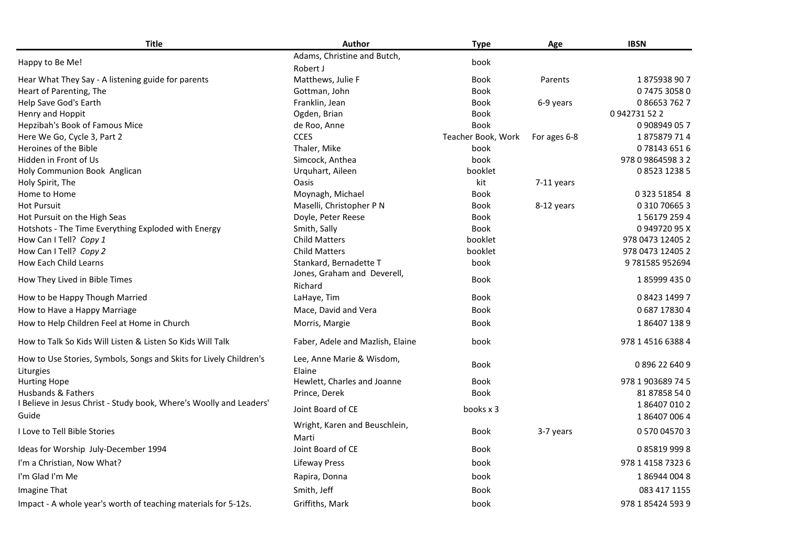| <b>Title</b>                                                                    | Author                                  | <b>Type</b>        | Age          | <b>IBSN</b>              |
|---------------------------------------------------------------------------------|-----------------------------------------|--------------------|--------------|--------------------------|
| Happy to Be Me!                                                                 | Adams, Christine and Butch,<br>Robert J | book               |              |                          |
| Hear What They Say - A listening guide for parents                              | Matthews, Julie F                       | <b>Book</b>        | Parents      | 1875938907               |
| Heart of Parenting, The                                                         | Gottman, John                           | <b>Book</b>        |              | 0747530580               |
| Help Save God's Earth                                                           | Franklin, Jean                          | <b>Book</b>        | 6-9 years    | 0866537627               |
| Henry and Hoppit                                                                | Ogden, Brian                            | <b>Book</b>        |              | 0942731522               |
| Hepzibah's Book of Famous Mice                                                  | de Roo, Anne                            | <b>Book</b>        |              | 0 908949 05 7            |
| Here We Go, Cycle 3, Part 2                                                     | <b>CCES</b>                             | Teacher Book, Work | For ages 6-8 | 1875879714               |
| Heroines of the Bible                                                           | Thaler, Mike                            | book               |              | 0781436516               |
| Hidden in Front of Us                                                           | Simcock, Anthea                         | book               |              | 978 0 9864598 3 2        |
| Holy Communion Book Anglican                                                    | Urquhart, Aileen                        | booklet            |              | 0852312385               |
| Holy Spirit, The                                                                | <b>Oasis</b>                            | kit                | 7-11 years   |                          |
| Home to Home                                                                    | Moynagh, Michael                        | <b>Book</b>        |              | 0 323 51854 8            |
| <b>Hot Pursuit</b>                                                              | Maselli, Christopher P N                | <b>Book</b>        | 8-12 years   | 0 310 70665 3            |
| Hot Pursuit on the High Seas                                                    | Doyle, Peter Reese                      | Book               |              | 1561792594               |
| Hotshots - The Time Everything Exploded with Energy                             | Smith, Sally                            | <b>Book</b>        |              | 094972095X               |
| How Can I Tell? Copy 1                                                          | <b>Child Matters</b>                    | booklet            |              | 978 0473 12405 2         |
| How Can I Tell? Copy 2                                                          | <b>Child Matters</b>                    | booklet            |              | 978 0473 12405 2         |
| How Each Child Learns                                                           | Stankard, Bernadette T                  | book               |              | 9781585952694            |
| How They Lived in Bible Times                                                   | Jones, Graham and Deverell,<br>Richard  | <b>Book</b>        |              | 1859994350               |
| How to be Happy Though Married                                                  | LaHaye, Tim                             | <b>Book</b>        |              | 0842314997               |
| How to Have a Happy Marriage                                                    | Mace, David and Vera                    | <b>Book</b>        |              | 0687178304               |
| How to Help Children Feel at Home in Church                                     | Morris, Margie                          | <b>Book</b>        |              | 1864071389               |
| How to Talk So Kids Will Listen & Listen So Kids Will Talk                      | Faber, Adele and Mazlish, Elaine        | book               |              | 978 1 4516 6388 4        |
| How to Use Stories, Symbols, Songs and Skits for Lively Children's<br>Liturgies | Lee, Anne Marie & Wisdom,<br>Elaine     | <b>Book</b>        |              | 0896226409               |
| <b>Hurting Hope</b>                                                             | Hewlett, Charles and Joanne             | <b>Book</b>        |              | 978 1 903689 74 5        |
| Husbands & Fathers                                                              | Prince, Derek                           | <b>Book</b>        |              | 81 87858 540             |
| I Believe in Jesus Christ - Study book, Where's Woolly and Leaders'<br>Guide    | Joint Board of CE                       | books x 3          |              | 1864070102<br>1864070064 |
| I Love to Tell Bible Stories                                                    | Wright, Karen and Beuschlein,<br>Marti  | <b>Book</b>        | 3-7 years    | 0 570 04570 3            |
| Ideas for Worship July-December 1994                                            | Joint Board of CE                       | Book               |              | 0858199998               |
| I'm a Christian, Now What?                                                      | <b>Lifeway Press</b>                    | book               |              | 978 1 4158 7323 6        |
| I'm Glad I'm Me                                                                 | Rapira, Donna                           | book               |              | 1869440048               |
| Imagine That                                                                    | Smith, Jeff                             | <b>Book</b>        |              | 083 417 1155             |
| Impact - A whole year's worth of teaching materials for 5-12s.                  | Griffiths, Mark                         | book               |              | 978 1 85424 593 9        |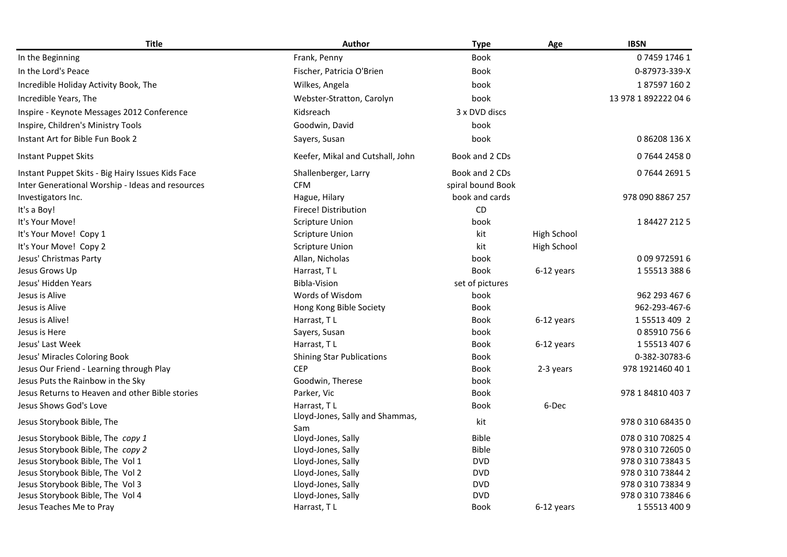| <b>Title</b>                                      | <b>Author</b>                          | <b>Type</b>       | Age         | <b>IBSN</b>          |
|---------------------------------------------------|----------------------------------------|-------------------|-------------|----------------------|
| In the Beginning                                  | Frank, Penny                           | <b>Book</b>       |             | 0745917461           |
| In the Lord's Peace                               | Fischer, Patricia O'Brien              | <b>Book</b>       |             | 0-87973-339-X        |
| Incredible Holiday Activity Book, The             | Wilkes, Angela                         | book              |             | 1875971602           |
| Incredible Years, The                             | Webster-Stratton, Carolyn              | book              |             | 13 978 1 892222 04 6 |
| Inspire - Keynote Messages 2012 Conference        | Kidsreach                              | 3 x DVD discs     |             |                      |
| Inspire, Children's Ministry Tools                | Goodwin, David                         | book              |             |                      |
| Instant Art for Bible Fun Book 2                  | Sayers, Susan                          | book              |             | 086208136X           |
| <b>Instant Puppet Skits</b>                       | Keefer, Mikal and Cutshall, John       | Book and 2 CDs    |             | 0764424580           |
| Instant Puppet Skits - Big Hairy Issues Kids Face | Shallenberger, Larry                   | Book and 2 CDs    |             | 0764426915           |
| Inter Generational Worship - Ideas and resources  | <b>CFM</b>                             | spiral bound Book |             |                      |
| Investigators Inc.                                | Hague, Hilary                          | book and cards    |             | 978 090 8867 257     |
| It's a Boy!                                       | <b>Firece! Distribution</b>            | CD                |             |                      |
| It's Your Move!                                   | <b>Scripture Union</b>                 | book              |             | 1844272125           |
| It's Your Move! Copy 1                            | Scripture Union                        | kit               | High School |                      |
| It's Your Move! Copy 2                            | <b>Scripture Union</b>                 | kit               | High School |                      |
| Jesus' Christmas Party                            | Allan, Nicholas                        | book              |             | 009 9725916          |
| Jesus Grows Up                                    | Harrast, TL                            | <b>Book</b>       | 6-12 years  | 1555133886           |
| Jesus' Hidden Years                               | <b>Bibla-Vision</b>                    | set of pictures   |             |                      |
| Jesus is Alive                                    | Words of Wisdom                        | book              |             | 962 293 467 6        |
| Jesus is Alive                                    | Hong Kong Bible Society                | <b>Book</b>       |             | 962-293-467-6        |
| Jesus is Alive!                                   | Harrast, TL                            | Book              | 6-12 years  | 1 55513 409 2        |
| Jesus is Here                                     | Sayers, Susan                          | book              |             | 0859107566           |
| Jesus' Last Week                                  | Harrast, TL                            | Book              | 6-12 years  | 1555134076           |
| Jesus' Miracles Coloring Book                     | <b>Shining Star Publications</b>       | <b>Book</b>       |             | 0-382-30783-6        |
| Jesus Our Friend - Learning through Play          | <b>CEP</b>                             | <b>Book</b>       | 2-3 years   | 978 1921460 40 1     |
| Jesus Puts the Rainbow in the Sky                 | Goodwin, Therese                       | book              |             |                      |
| Jesus Returns to Heaven and other Bible stories   | Parker, Vic                            | Book              |             | 978 1 84810 403 7    |
| Jesus Shows God's Love                            | Harrast, TL                            | <b>Book</b>       | 6-Dec       |                      |
| Jesus Storybook Bible, The                        | Lloyd-Jones, Sally and Shammas,<br>Sam | kit               |             | 978 0 310 68435 0    |
| Jesus Storybook Bible, The copy 1                 | Lloyd-Jones, Sally                     | <b>Bible</b>      |             | 078 0 310 70825 4    |
| Jesus Storybook Bible, The copy 2                 | Lloyd-Jones, Sally                     | <b>Bible</b>      |             | 978 0 310 72605 0    |
| Jesus Storybook Bible, The Vol 1                  | Lloyd-Jones, Sally                     | <b>DVD</b>        |             | 978 0 310 73843 5    |
| Jesus Storybook Bible, The Vol 2                  | Lloyd-Jones, Sally                     | <b>DVD</b>        |             | 978 0 310 73844 2    |
| Jesus Storybook Bible, The Vol 3                  | Lloyd-Jones, Sally                     | <b>DVD</b>        |             | 978 0 310 73834 9    |
| Jesus Storybook Bible, The Vol 4                  | Lloyd-Jones, Sally                     | <b>DVD</b>        |             | 978 0 310 73846 6    |
| Jesus Teaches Me to Pray                          | Harrast, TL                            | <b>Book</b>       | 6-12 years  | 1555134009           |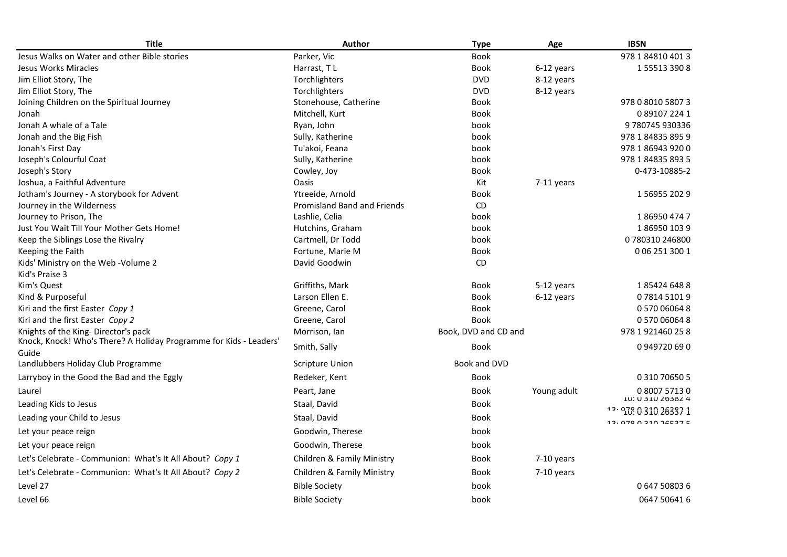| <b>Title</b>                                                                                              | <b>Author</b>               | <b>Type</b>          | Age         | <b>IBSN</b>                                     |
|-----------------------------------------------------------------------------------------------------------|-----------------------------|----------------------|-------------|-------------------------------------------------|
| Jesus Walks on Water and other Bible stories                                                              | Parker, Vic                 | <b>Book</b>          |             | 978 1 84810 401 3                               |
| Jesus Works Miracles                                                                                      | Harrast, TL                 | <b>Book</b>          | 6-12 years  | 1555133908                                      |
| Jim Elliot Story, The                                                                                     | Torchlighters               | <b>DVD</b>           | 8-12 years  |                                                 |
| Jim Elliot Story, The                                                                                     | Torchlighters               | <b>DVD</b>           | 8-12 years  |                                                 |
| Joining Children on the Spiritual Journey                                                                 | Stonehouse, Catherine       | <b>Book</b>          |             | 978 0 8010 5807 3                               |
| Jonah                                                                                                     | Mitchell, Kurt              | Book                 |             | 0891072241                                      |
| Jonah A whale of a Tale                                                                                   | Ryan, John                  | book                 |             | 9780745930336                                   |
| Jonah and the Big Fish                                                                                    | Sully, Katherine            | book                 |             | 978 1 84835 895 9                               |
| Jonah's First Day                                                                                         | Tu'akoi, Feana              | book                 |             | 978 1 86943 920 0                               |
| Joseph's Colourful Coat                                                                                   | Sully, Katherine            | book                 |             | 978 1 84835 893 5                               |
| Joseph's Story                                                                                            | Cowley, Joy                 | <b>Book</b>          |             | 0-473-10885-2                                   |
| Joshua, a Faithful Adventure                                                                              | Oasis                       | Kit                  | 7-11 years  |                                                 |
| Jotham's Journey - A storybook for Advent                                                                 | Ytreeide, Arnold            | <b>Book</b>          |             | 1569552029                                      |
| Journey in the Wilderness                                                                                 | Promisland Band and Friends | CD                   |             |                                                 |
| Journey to Prison, The                                                                                    | Lashlie, Celia              | book                 |             | 1869504747                                      |
| Just You Wait Till Your Mother Gets Home!                                                                 | Hutchins, Graham            | book                 |             | 1869501039                                      |
| Keep the Siblings Lose the Rivalry                                                                        | Cartmell, Dr Todd           | book                 |             | 0780310246800                                   |
| Keeping the Faith                                                                                         | Fortune, Marie M            | <b>Book</b>          |             | 0 06 251 300 1                                  |
| Kids' Ministry on the Web - Volume 2                                                                      | David Goodwin               | <b>CD</b>            |             |                                                 |
| Kid's Praise 3                                                                                            |                             |                      |             |                                                 |
| Kim's Quest                                                                                               | Griffiths, Mark             | <b>Book</b>          | 5-12 years  | 1854246488                                      |
| Kind & Purposeful                                                                                         | Larson Ellen E.             | <b>Book</b>          | 6-12 years  | 0781451019                                      |
| Kiri and the first Easter Copy 1                                                                          | Greene, Carol               | Book                 |             | 0 570 06064 8                                   |
| Kiri and the first Easter Copy 2                                                                          | Greene, Carol               | <b>Book</b>          |             | 0 570 06064 8                                   |
| Knights of the King-Director's pack<br>Knock, Knock! Who's There? A Holiday Programme for Kids - Leaders' | Morrison, Ian               | Book, DVD and CD and |             | 978 1 921460 25 8                               |
| Guide                                                                                                     | Smith, Sally                | <b>Book</b>          |             | 0949720690                                      |
| Landlubbers Holiday Club Programme                                                                        | <b>Scripture Union</b>      | Book and DVD         |             |                                                 |
| Larryboy in the Good the Bad and the Eggly                                                                | Redeker, Kent               | <b>Book</b>          |             | 0 310 70650 5                                   |
| Laurel                                                                                                    | Peart, Jane                 | Book                 | Young adult | 0800757130                                      |
| Leading Kids to Jesus                                                                                     | Staal, David                | <b>Book</b>          |             | <b>IU: U 3 IU Z 03 0 Z 4</b><br>12.0310 26337 1 |
| Leading your Child to Jesus                                                                               | Staal, David                | <b>Book</b>          |             | 10.070 0.010 24507 E                            |
| Let your peace reign                                                                                      | Goodwin, Therese            | book                 |             |                                                 |
| Let your peace reign                                                                                      | Goodwin, Therese            | book                 |             |                                                 |
| Let's Celebrate - Communion: What's It All About? Copy 1                                                  | Children & Family Ministry  | <b>Book</b>          | 7-10 years  |                                                 |
| Let's Celebrate - Communion: What's It All About? Copy 2                                                  | Children & Family Ministry  | Book                 | 7-10 years  |                                                 |
| Level 27                                                                                                  | <b>Bible Society</b>        | book                 |             | 0647508036                                      |
| Level 66                                                                                                  | <b>Bible Society</b>        | book                 |             | 0647 50641 6                                    |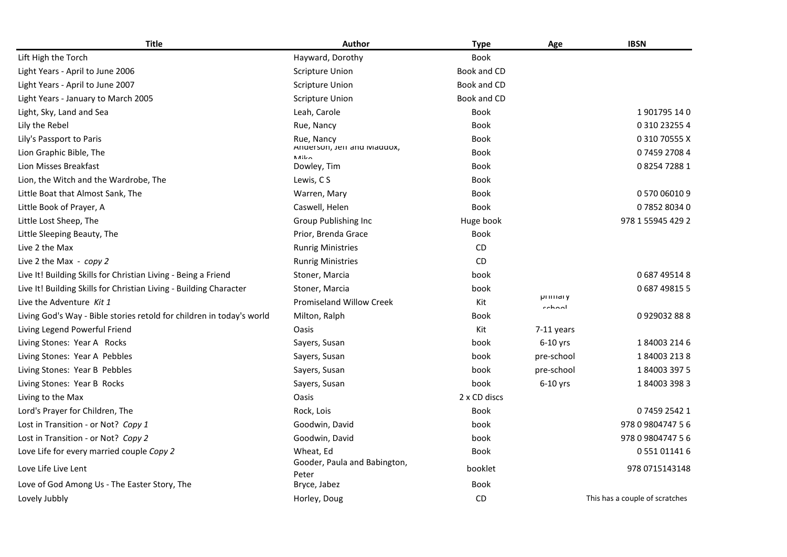| <b>Title</b>                                                          | Author                                | <b>Type</b>  | Age                 | <b>IBSN</b>                    |
|-----------------------------------------------------------------------|---------------------------------------|--------------|---------------------|--------------------------------|
| Lift High the Torch                                                   | Hayward, Dorothy                      | <b>Book</b>  |                     |                                |
| Light Years - April to June 2006                                      | <b>Scripture Union</b>                | Book and CD  |                     |                                |
| Light Years - April to June 2007                                      | <b>Scripture Union</b>                | Book and CD  |                     |                                |
| Light Years - January to March 2005                                   | <b>Scripture Union</b>                | Book and CD  |                     |                                |
| Light, Sky, Land and Sea                                              | Leah, Carole                          | <b>Book</b>  |                     | 1901795140                     |
| Lily the Rebel                                                        | Rue, Nancy                            | <b>Book</b>  |                     | 0 310 23255 4                  |
| Lily's Passport to Paris                                              | Rue, Nancy                            | <b>Book</b>  |                     | 031070555X                     |
| Lion Graphic Bible, The                                               | Anderson, Jerr and Maddox,<br>N       | <b>Book</b>  |                     | 0745927084                     |
| Lion Misses Breakfast                                                 | Dowley, Tim                           | <b>Book</b>  |                     | 0825472881                     |
| Lion, the Witch and the Wardrobe, The                                 | Lewis, CS                             | <b>Book</b>  |                     |                                |
| Little Boat that Almost Sank, The                                     | Warren, Mary                          | <b>Book</b>  |                     | 0 570 06010 9                  |
| Little Book of Prayer, A                                              | Caswell, Helen                        | <b>Book</b>  |                     | 0785280340                     |
| Little Lost Sheep, The                                                | Group Publishing Inc                  | Huge book    |                     | 978 1 55945 429 2              |
| Little Sleeping Beauty, The                                           | Prior, Brenda Grace                   | Book         |                     |                                |
| Live 2 the Max                                                        | <b>Runrig Ministries</b>              | CD           |                     |                                |
| Live 2 the Max - copy 2                                               | <b>Runrig Ministries</b>              | <b>CD</b>    |                     |                                |
| Live It! Building Skills for Christian Living - Being a Friend        | Stoner, Marcia                        | book         |                     | 0 687 495148                   |
| Live It! Building Skills for Christian Living - Building Character    | Stoner, Marcia                        | book         |                     | 0687498155                     |
| Live the Adventure Kit 1                                              | Promiseland Willow Creek              | Kit          | printidiy<br>cchool |                                |
| Living God's Way - Bible stories retold for children in today's world | Milton, Ralph                         | Book         |                     | 0929032888                     |
| Living Legend Powerful Friend                                         | <b>Oasis</b>                          | Kit          | $7-11$ years        |                                |
| Living Stones: Year A Rocks                                           | Sayers, Susan                         | book         | $6-10$ yrs          | 1840032146                     |
| Living Stones: Year A Pebbles                                         | Sayers, Susan                         | book         | pre-school          | 1840032138                     |
| Living Stones: Year B Pebbles                                         | Sayers, Susan                         | book         | pre-school          | 1840033975                     |
| Living Stones: Year B Rocks                                           | Sayers, Susan                         | book         | $6-10$ yrs          | 1840033983                     |
| Living to the Max                                                     | <b>Oasis</b>                          | 2 x CD discs |                     |                                |
| Lord's Prayer for Children, The                                       | Rock, Lois                            | Book         |                     | 0745925421                     |
| Lost in Transition - or Not? Copy 1                                   | Goodwin, David                        | book         |                     | 978 0 9804747 5 6              |
| Lost in Transition - or Not? Copy 2                                   | Goodwin, David                        | book         |                     | 978 0 9804747 5 6              |
| Love Life for every married couple Copy 2                             | Wheat, Ed                             | <b>Book</b>  |                     | 0 551 01141 6                  |
| Love Life Live Lent                                                   | Gooder, Paula and Babington,<br>Peter | booklet      |                     | 978 0715143148                 |
| Love of God Among Us - The Easter Story, The                          | Bryce, Jabez                          | <b>Book</b>  |                     |                                |
| Lovely Jubbly                                                         | Horley, Doug                          | CD           |                     | This has a couple of scratches |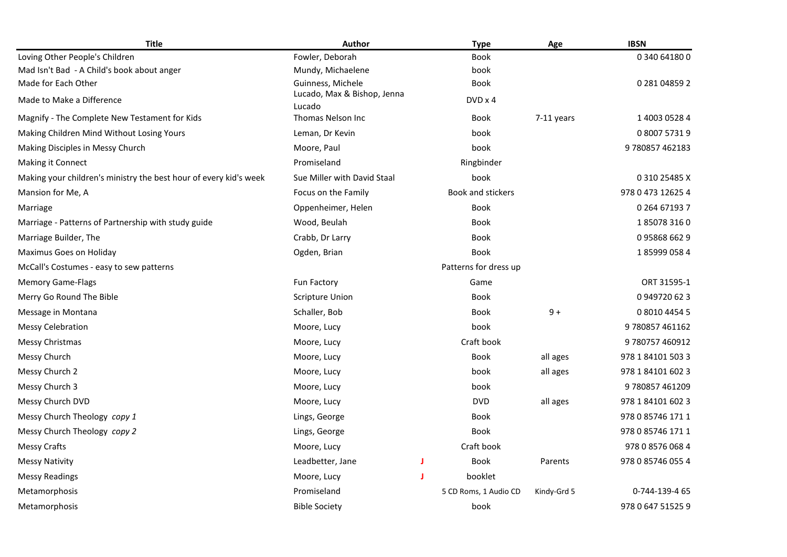| <b>Title</b>                                                      | Author                                |   | <b>Type</b>           | Age         | <b>IBSN</b>       |
|-------------------------------------------------------------------|---------------------------------------|---|-----------------------|-------------|-------------------|
| Loving Other People's Children                                    | Fowler, Deborah                       |   | <b>Book</b>           |             | 0 340 64180 0     |
| Mad Isn't Bad - A Child's book about anger                        | Mundy, Michaelene                     |   | book                  |             |                   |
| Made for Each Other                                               | Guinness, Michele                     |   | <b>Book</b>           |             | 0 281 04859 2     |
| Made to Make a Difference                                         | Lucado, Max & Bishop, Jenna<br>Lucado |   | DVD x 4               |             |                   |
| Magnify - The Complete New Testament for Kids                     | Thomas Nelson Inc                     |   | Book                  | 7-11 years  | 1 4003 0528 4     |
| Making Children Mind Without Losing Yours                         | Leman, Dr Kevin                       |   | book                  |             | 0 8007 5731 9     |
| Making Disciples in Messy Church                                  | Moore, Paul                           |   | book                  |             | 9780857462183     |
| Making it Connect                                                 | Promiseland                           |   | Ringbinder            |             |                   |
| Making your children's ministry the best hour of every kid's week | Sue Miller with David Staal           |   | book                  |             | 0 310 25485 X     |
| Mansion for Me, A                                                 | Focus on the Family                   |   | Book and stickers     |             | 978 0 473 12625 4 |
| Marriage                                                          | Oppenheimer, Helen                    |   | Book                  |             | 0 264 67193 7     |
| Marriage - Patterns of Partnership with study guide               | Wood, Beulah                          |   | <b>Book</b>           |             | 1850783160        |
| Marriage Builder, The                                             | Crabb, Dr Larry                       |   | <b>Book</b>           |             | 0958686629        |
| Maximus Goes on Holiday                                           | Ogden, Brian                          |   | <b>Book</b>           |             | 1859990584        |
| McCall's Costumes - easy to sew patterns                          |                                       |   | Patterns for dress up |             |                   |
| <b>Memory Game-Flags</b>                                          | Fun Factory                           |   | Game                  |             | ORT 31595-1       |
| Merry Go Round The Bible                                          | <b>Scripture Union</b>                |   | <b>Book</b>           |             | 0949720623        |
| Message in Montana                                                | Schaller, Bob                         |   | Book                  | $9+$        | 0 8010 4454 5     |
| <b>Messy Celebration</b>                                          | Moore, Lucy                           |   | book                  |             | 9780857461162     |
| Messy Christmas                                                   | Moore, Lucy                           |   | Craft book            |             | 9 780757 460912   |
| Messy Church                                                      | Moore, Lucy                           |   | Book                  | all ages    | 978 1 84101 503 3 |
| Messy Church 2                                                    | Moore, Lucy                           |   | book                  | all ages    | 978 1 84101 602 3 |
| Messy Church 3                                                    | Moore, Lucy                           |   | book                  |             | 9780857461209     |
| Messy Church DVD                                                  | Moore, Lucy                           |   | <b>DVD</b>            | all ages    | 978 1 84101 602 3 |
| Messy Church Theology copy 1                                      | Lings, George                         |   | Book                  |             | 978 0 85746 171 1 |
| Messy Church Theology copy 2                                      | Lings, George                         |   | <b>Book</b>           |             | 978 0 85746 171 1 |
| <b>Messy Crafts</b>                                               | Moore, Lucy                           |   | Craft book            |             | 978 0 8576 068 4  |
| Messy Nativity                                                    | Leadbetter, Jane                      | J | Book                  | Parents     | 978 0 85746 055 4 |
| <b>Messy Readings</b>                                             | Moore, Lucy                           | J | booklet               |             |                   |
| Metamorphosis                                                     | Promiseland                           |   | 5 CD Roms, 1 Audio CD | Kindy-Grd 5 | 0-744-139-4 65    |
| Metamorphosis                                                     | <b>Bible Society</b>                  |   | book                  |             | 978 0 647 51525 9 |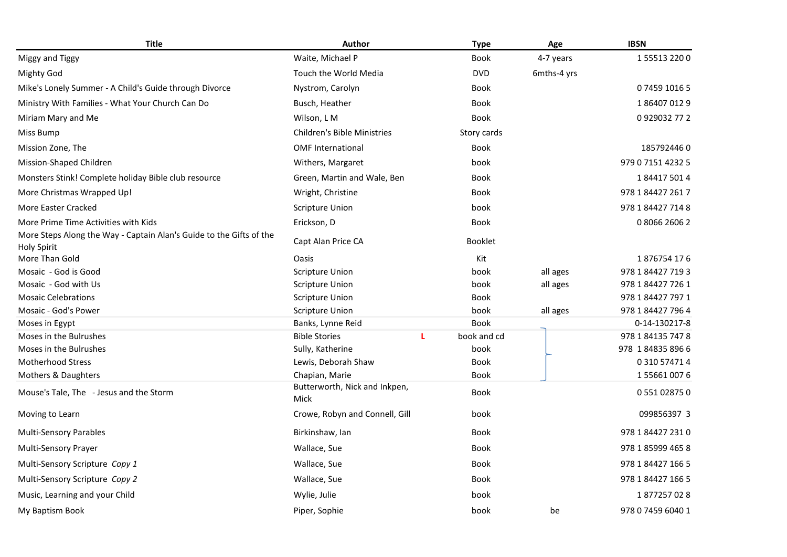| <b>Title</b>                                                                              | <b>Author</b>                         |   | <b>Type</b>    | Age         | <b>IBSN</b>       |
|-------------------------------------------------------------------------------------------|---------------------------------------|---|----------------|-------------|-------------------|
| Miggy and Tiggy                                                                           | Waite, Michael P                      |   | <b>Book</b>    | 4-7 years   | 1555132200        |
| <b>Mighty God</b>                                                                         | Touch the World Media                 |   | <b>DVD</b>     | 6mths-4 yrs |                   |
| Mike's Lonely Summer - A Child's Guide through Divorce                                    | Nystrom, Carolyn                      |   | Book           |             | 0745910165        |
| Ministry With Families - What Your Church Can Do                                          | Busch, Heather                        |   | Book           |             | 1864070129        |
| Miriam Mary and Me                                                                        | Wilson, L M                           |   | <b>Book</b>    |             | 0929032772        |
| Miss Bump                                                                                 | <b>Children's Bible Ministries</b>    |   | Story cards    |             |                   |
| Mission Zone, The                                                                         | <b>OMF</b> International              |   | <b>Book</b>    |             | 1857924460        |
| Mission-Shaped Children                                                                   | Withers, Margaret                     |   | book           |             | 979 0 7151 4232 5 |
| Monsters Stink! Complete holiday Bible club resource                                      | Green, Martin and Wale, Ben           |   | Book           |             | 1844175014        |
| More Christmas Wrapped Up!                                                                | Wright, Christine                     |   | <b>Book</b>    |             | 978 1 84427 261 7 |
| More Easter Cracked                                                                       | <b>Scripture Union</b>                |   | book           |             | 978 1 84427 714 8 |
| More Prime Time Activities with Kids                                                      | Erickson, D                           |   | Book           |             | 0806626062        |
| More Steps Along the Way - Captain Alan's Guide to the Gifts of the<br><b>Holy Spirit</b> | Capt Alan Price CA                    |   | <b>Booklet</b> |             |                   |
| More Than Gold                                                                            | Oasis                                 |   | Kit            |             | 1876754 176       |
| Mosaic - God is Good                                                                      | <b>Scripture Union</b>                |   | book           | all ages    | 978 1 84427 719 3 |
| Mosaic - God with Us                                                                      | <b>Scripture Union</b>                |   | book           | all ages    | 978 1 84427 726 1 |
| <b>Mosaic Celebrations</b>                                                                | Scripture Union                       |   | <b>Book</b>    |             | 978 1 84427 797 1 |
| Mosaic - God's Power                                                                      | <b>Scripture Union</b>                |   | book           | all ages    | 978 1 84427 796 4 |
| Moses in Egypt                                                                            | Banks, Lynne Reid                     |   | <b>Book</b>    |             | 0-14-130217-8     |
| Moses in the Bulrushes                                                                    | <b>Bible Stories</b>                  | L | book and cd    |             | 978 1 84135 747 8 |
| Moses in the Bulrushes                                                                    | Sully, Katherine                      |   | book           |             | 978 1848358966    |
| <b>Motherhood Stress</b>                                                                  | Lewis, Deborah Shaw                   |   | <b>Book</b>    |             | 0 310 57471 4     |
| Mothers & Daughters                                                                       | Chapian, Marie                        |   | <b>Book</b>    |             | 1556610076        |
| Mouse's Tale, The - Jesus and the Storm                                                   | Butterworth, Nick and Inkpen,<br>Mick |   | <b>Book</b>    |             | 0551028750        |
| Moving to Learn                                                                           | Crowe, Robyn and Connell, Gill        |   | book           |             | 099856397 3       |
| <b>Multi-Sensory Parables</b>                                                             | Birkinshaw, Ian                       |   | <b>Book</b>    |             | 978 1 84427 231 0 |
| Multi-Sensory Prayer                                                                      | Wallace, Sue                          |   | <b>Book</b>    |             | 978 1 85999 465 8 |
| Multi-Sensory Scripture Copy 1                                                            | Wallace, Sue                          |   | Book           |             | 978 1 84427 166 5 |
| Multi-Sensory Scripture Copy 2                                                            | Wallace, Sue                          |   | Book           |             | 978 1 84427 166 5 |
| Music, Learning and your Child                                                            | Wylie, Julie                          |   | book           |             | 1877257028        |
| My Baptism Book                                                                           | Piper, Sophie                         |   | book           | be          | 978 0 7459 6040 1 |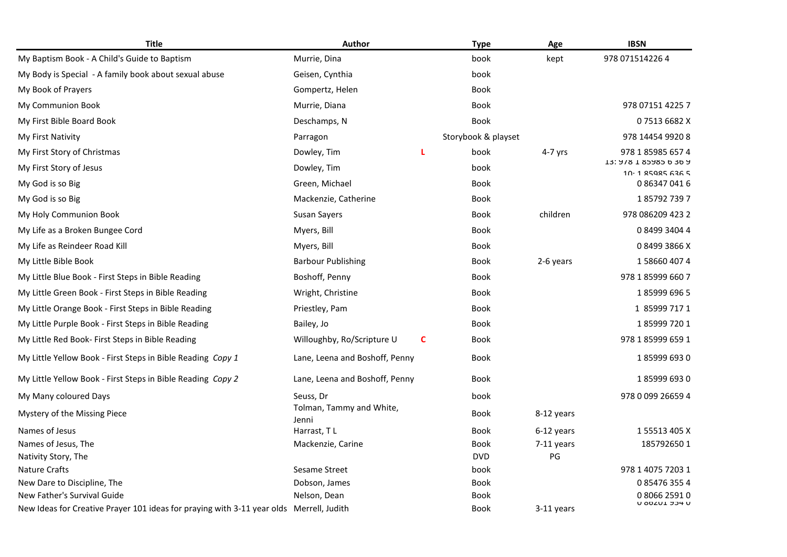| <b>Title</b>                                                                            | <b>Author</b>                     |   | <b>Type</b>         | Age        | <b>IBSN</b>                      |
|-----------------------------------------------------------------------------------------|-----------------------------------|---|---------------------|------------|----------------------------------|
| My Baptism Book - A Child's Guide to Baptism                                            | Murrie, Dina                      |   | book                | kept       | 978 071514226 4                  |
| My Body is Special - A family book about sexual abuse                                   | Geisen, Cynthia                   |   | book                |            |                                  |
| My Book of Prayers                                                                      | Gompertz, Helen                   |   | Book                |            |                                  |
| My Communion Book                                                                       | Murrie, Diana                     |   | Book                |            | 978 07151 4225 7                 |
| My First Bible Board Book                                                               | Deschamps, N                      |   | <b>Book</b>         |            | 075136682X                       |
| My First Nativity                                                                       | Parragon                          |   | Storybook & playset |            | 978 14454 9920 8                 |
| My First Story of Christmas                                                             | Dowley, Tim                       | L | book                | 4-7 yrs    | 978 1 85985 657 4                |
| My First Story of Jesus                                                                 | Dowley, Tim                       |   | book                |            | 13: Y/8 1 85Y85 b 3b Y           |
| My God is so Big                                                                        | Green, Michael                    |   | <b>Book</b>         |            | $10.1$ 25925 636 5<br>0863470416 |
| My God is so Big                                                                        | Mackenzie, Catherine              |   | <b>Book</b>         |            | 1857927397                       |
| My Holy Communion Book                                                                  | Susan Sayers                      |   | Book                | children   | 978 086209 423 2                 |
| My Life as a Broken Bungee Cord                                                         | Myers, Bill                       |   | Book                |            | 0 8499 3404 4                    |
| My Life as Reindeer Road Kill                                                           | Myers, Bill                       |   | Book                |            | 084993866X                       |
| My Little Bible Book                                                                    | <b>Barbour Publishing</b>         |   | Book                | 2-6 years  | 1586604074                       |
| My Little Blue Book - First Steps in Bible Reading                                      | Boshoff, Penny                    |   | Book                |            | 978 1 85999 660 7                |
| My Little Green Book - First Steps in Bible Reading                                     | Wright, Christine                 |   | <b>Book</b>         |            | 1859996965                       |
| My Little Orange Book - First Steps in Bible Reading                                    | Priestley, Pam                    |   | Book                |            | 1 85999 717 1                    |
| My Little Purple Book - First Steps in Bible Reading                                    | Bailey, Jo                        |   | Book                |            | 1859997201                       |
| My Little Red Book- First Steps in Bible Reading                                        | Willoughby, Ro/Scripture U        | C | Book                |            | 978 1 85999 659 1                |
|                                                                                         |                                   |   |                     |            |                                  |
| My Little Yellow Book - First Steps in Bible Reading Copy 1                             | Lane, Leena and Boshoff, Penny    |   | Book                |            | 1859996930                       |
| My Little Yellow Book - First Steps in Bible Reading Copy 2                             | Lane, Leena and Boshoff, Penny    |   | <b>Book</b>         |            | 1859996930                       |
| My Many coloured Days                                                                   | Seuss, Dr                         |   | book                |            | 978 0 099 26659 4                |
| Mystery of the Missing Piece                                                            | Tolman, Tammy and White,<br>Jenni |   | <b>Book</b>         | 8-12 years |                                  |
| Names of Jesus                                                                          | Harrast, TL                       |   | Book                | 6-12 years | 1 55513 405 X                    |
| Names of Jesus, The                                                                     | Mackenzie, Carine                 |   | Book                | 7-11 years | 1857926501                       |
| Nativity Story, The                                                                     |                                   |   | <b>DVD</b>          | PG         |                                  |
| <b>Nature Crafts</b>                                                                    | <b>Sesame Street</b>              |   | book                |            | 978 1 4075 7203 1                |
| New Dare to Discipline, The                                                             | Dobson, James                     |   | <b>Book</b>         |            | 0854763554                       |
| New Father's Survival Guide                                                             | Nelson, Dean                      |   | Book                |            | 0806625910                       |
| New Ideas for Creative Prayer 101 ideas for praying with 3-11 year olds Merrell, Judith |                                   |   | Book                | 3-11 years | N 9070T 204 N                    |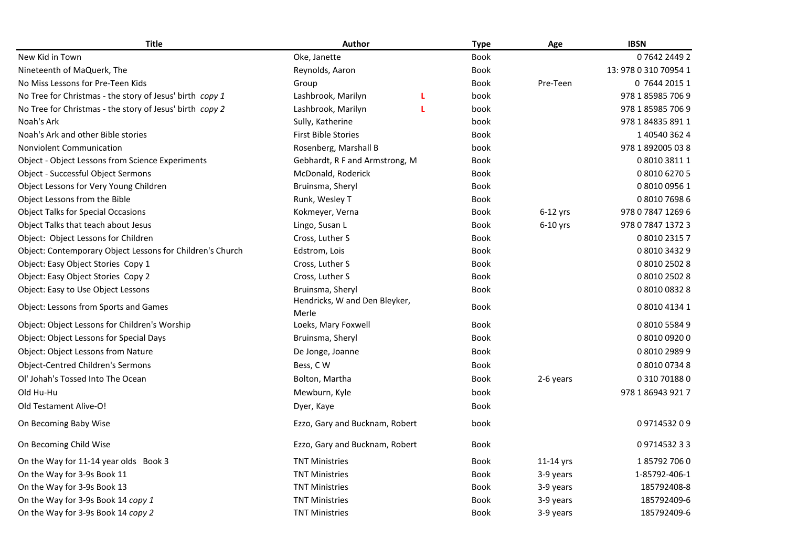| <b>Title</b>                                              | Author                                 |   | <b>Type</b> | Age         | <b>IBSN</b>           |
|-----------------------------------------------------------|----------------------------------------|---|-------------|-------------|-----------------------|
| New Kid in Town                                           | Oke, Janette                           |   | <b>Book</b> |             | 0764224492            |
| Nineteenth of MaQuerk, The                                | Reynolds, Aaron                        |   | <b>Book</b> |             | 13: 978 0 310 70954 1 |
| No Miss Lessons for Pre-Teen Kids                         | Group                                  |   | <b>Book</b> | Pre-Teen    | 0 7644 2015 1         |
| No Tree for Christmas - the story of Jesus' birth copy 1  | Lashbrook, Marilyn                     | L | book        |             | 978 1 85985 706 9     |
| No Tree for Christmas - the story of Jesus' birth copy 2  | Lashbrook, Marilyn                     | L | book        |             | 978 1 85985 706 9     |
| Noah's Ark                                                | Sully, Katherine                       |   | book        |             | 978 1 84835 891 1     |
| Noah's Ark and other Bible stories                        | <b>First Bible Stories</b>             |   | <b>Book</b> |             | 1 40540 362 4         |
| Nonviolent Communication                                  | Rosenberg, Marshall B                  |   | book        |             | 978 1 892005 03 8     |
| <b>Object - Object Lessons from Science Experiments</b>   | Gebhardt, R F and Armstrong, M         |   | <b>Book</b> |             | 0 8010 3811 1         |
| Object - Successful Object Sermons                        | McDonald, Roderick                     |   | <b>Book</b> |             | 0 8010 6270 5         |
| Object Lessons for Very Young Children                    | Bruinsma, Sheryl                       |   | <b>Book</b> |             | 0 8010 0956 1         |
| Object Lessons from the Bible                             | Runk, Wesley T                         |   | Book        |             | 0801076986            |
| <b>Object Talks for Special Occasions</b>                 | Kokmeyer, Verna                        |   | <b>Book</b> | $6-12$ yrs  | 978 0 7847 1269 6     |
| Object Talks that teach about Jesus                       | Lingo, Susan L                         |   | <b>Book</b> | $6-10$ yrs  | 978 0 7847 1372 3     |
| Object: Object Lessons for Children                       | Cross, Luther S                        |   | <b>Book</b> |             | 0 8010 2315 7         |
| Object: Contemporary Object Lessons for Children's Church | Edstrom, Lois                          |   | <b>Book</b> |             | 0 8010 3432 9         |
| Object: Easy Object Stories Copy 1                        | Cross, Luther S                        |   | Book        |             | 0 8010 2502 8         |
| Object: Easy Object Stories Copy 2                        | Cross, Luther S                        |   | <b>Book</b> |             | 0 8010 2502 8         |
| Object: Easy to Use Object Lessons                        | Bruinsma, Sheryl                       |   | <b>Book</b> |             | 0 8010 0832 8         |
| Object: Lessons from Sports and Games                     | Hendricks, W and Den Bleyker,<br>Merle |   | Book        |             | 0 8010 4134 1         |
| Object: Object Lessons for Children's Worship             | Loeks, Mary Foxwell                    |   | <b>Book</b> |             | 0801055849            |
| Object: Object Lessons for Special Days                   | Bruinsma, Sheryl                       |   | <b>Book</b> |             | 0 8010 0920 0         |
| Object: Object Lessons from Nature                        | De Jonge, Joanne                       |   | <b>Book</b> |             | 0801029899            |
| Object-Centred Children's Sermons                         | Bess, CW                               |   | <b>Book</b> |             | 0 8010 0734 8         |
| Ol' Johah's Tossed Into The Ocean                         | Bolton, Martha                         |   | <b>Book</b> | 2-6 years   | 0 310 701880          |
| Old Hu-Hu                                                 | Mewburn, Kyle                          |   | book        |             | 978 1 86943 921 7     |
| Old Testament Alive-O!                                    | Dyer, Kaye                             |   | <b>Book</b> |             |                       |
| On Becoming Baby Wise                                     | Ezzo, Gary and Bucknam, Robert         |   | book        |             | 0971453209            |
| On Becoming Child Wise                                    | Ezzo, Gary and Bucknam, Robert         |   | <b>Book</b> |             | 0971453233            |
| On the Way for 11-14 year olds Book 3                     | <b>TNT Ministries</b>                  |   | Book        | $11-14$ yrs | 1857927060            |
| On the Way for 3-9s Book 11                               | <b>TNT Ministries</b>                  |   | <b>Book</b> | 3-9 years   | 1-85792-406-1         |
| On the Way for 3-9s Book 13                               | <b>TNT Ministries</b>                  |   | Book        | 3-9 years   | 185792408-8           |
| On the Way for 3-9s Book 14 copy 1                        | <b>TNT Ministries</b>                  |   | Book        | 3-9 years   | 185792409-6           |
| On the Way for 3-9s Book 14 copy 2                        | <b>TNT Ministries</b>                  |   | Book        | 3-9 years   | 185792409-6           |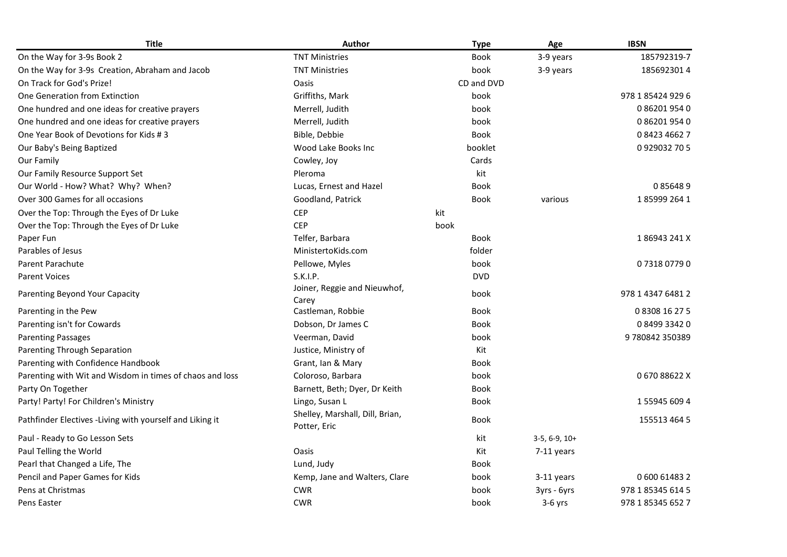| <b>Title</b>                                              | <b>Author</b>                                   | <b>Type</b> | Age             | <b>IBSN</b>       |
|-----------------------------------------------------------|-------------------------------------------------|-------------|-----------------|-------------------|
| On the Way for 3-9s Book 2                                | <b>TNT Ministries</b>                           | <b>Book</b> | 3-9 years       | 185792319-7       |
| On the Way for 3-9s Creation, Abraham and Jacob           | <b>TNT Ministries</b>                           | book        | 3-9 years       | 1856923014        |
| On Track for God's Prize!                                 | Oasis                                           | CD and DVD  |                 |                   |
| One Generation from Extinction                            | Griffiths, Mark                                 | book        |                 | 978 1 85424 929 6 |
| One hundred and one ideas for creative prayers            | Merrell, Judith                                 | book        |                 | 0 86201 954 0     |
| One hundred and one ideas for creative prayers            | Merrell, Judith                                 | book        |                 | 0862019540        |
| One Year Book of Devotions for Kids #3                    | Bible, Debbie                                   | <b>Book</b> |                 | 0842346627        |
| Our Baby's Being Baptized                                 | Wood Lake Books Inc                             | booklet     |                 | 0929032705        |
| Our Family                                                | Cowley, Joy                                     | Cards       |                 |                   |
| Our Family Resource Support Set                           | Pleroma                                         | kit         |                 |                   |
| Our World - How? What? Why? When?                         | Lucas, Ernest and Hazel                         | <b>Book</b> |                 | 0856489           |
| Over 300 Games for all occasions                          | Goodland, Patrick                               | <b>Book</b> | various         | 1859992641        |
| Over the Top: Through the Eyes of Dr Luke                 | <b>CEP</b>                                      | kit         |                 |                   |
| Over the Top: Through the Eyes of Dr Luke                 | <b>CEP</b>                                      | book        |                 |                   |
| Paper Fun                                                 | Telfer, Barbara                                 | <b>Book</b> |                 | 186943241X        |
| Parables of Jesus                                         | MinistertoKids.com                              | folder      |                 |                   |
| <b>Parent Parachute</b>                                   | Pellowe, Myles                                  | book        |                 | 0731807790        |
| <b>Parent Voices</b>                                      | S.K.I.P.                                        | <b>DVD</b>  |                 |                   |
| Parenting Beyond Your Capacity                            | Joiner, Reggie and Nieuwhof,                    | book        |                 | 978 1 4347 6481 2 |
|                                                           | Carey                                           |             |                 |                   |
| Parenting in the Pew                                      | Castleman, Robbie                               | <b>Book</b> |                 | 0 8308 16 27 5    |
| Parenting isn't for Cowards                               | Dobson, Dr James C                              | Book        |                 | 0849933420        |
| <b>Parenting Passages</b>                                 | Veerman, David                                  | book        |                 | 9780842350389     |
| Parenting Through Separation                              | Justice, Ministry of                            | Kit         |                 |                   |
| Parenting with Confidence Handbook                        | Grant, Ian & Mary                               | <b>Book</b> |                 |                   |
| Parenting with Wit and Wisdom in times of chaos and loss  | Coloroso, Barbara                               | book        |                 | 067088622X        |
| Party On Together                                         | Barnett, Beth; Dyer, Dr Keith                   | <b>Book</b> |                 |                   |
| Party! Party! For Children's Ministry                     | Lingo, Susan L                                  | Book        |                 | 1559456094        |
| Pathfinder Electives - Living with yourself and Liking it | Shelley, Marshall, Dill, Brian,<br>Potter, Eric | <b>Book</b> |                 | 155513 464 5      |
| Paul - Ready to Go Lesson Sets                            |                                                 | kit         | $3-5, 6-9, 10+$ |                   |
| Paul Telling the World                                    | <b>Oasis</b>                                    | Kit         | 7-11 years      |                   |
| Pearl that Changed a Life, The                            | Lund, Judy                                      | Book        |                 |                   |
| Pencil and Paper Games for Kids                           | Kemp, Jane and Walters, Clare                   | book        | 3-11 years      | 0600614832        |
| Pens at Christmas                                         | <b>CWR</b>                                      | book        | 3yrs - 6yrs     | 978 1 85345 614 5 |
| Pens Easter                                               | <b>CWR</b>                                      | book        | $3-6$ yrs       | 978 1 85345 652 7 |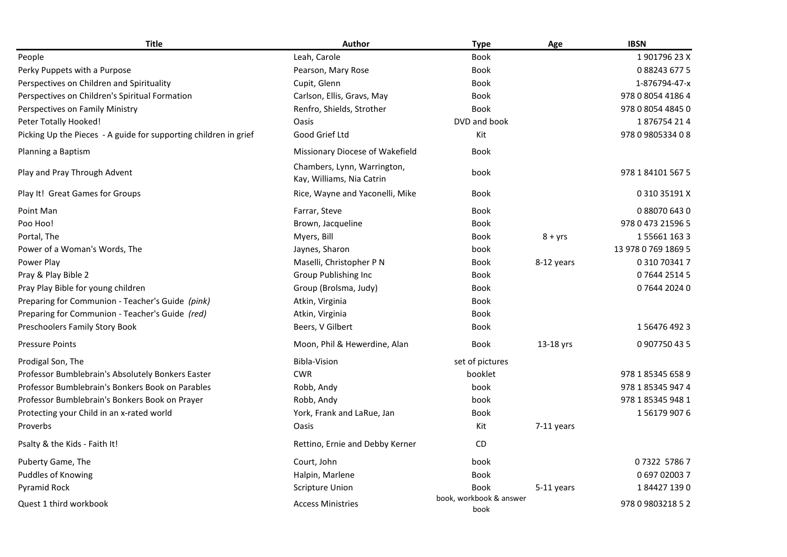| <b>Title</b>                                                     | <b>Author</b>                                            | <b>Type</b>                     | Age        | <b>IBSN</b>         |
|------------------------------------------------------------------|----------------------------------------------------------|---------------------------------|------------|---------------------|
| People                                                           | Leah, Carole                                             | <b>Book</b>                     |            | 1901796 23 X        |
| Perky Puppets with a Purpose                                     | Pearson, Mary Rose                                       | Book                            |            | 0882436775          |
| Perspectives on Children and Spirituality                        | Cupit, Glenn                                             | <b>Book</b>                     |            | 1-876794-47-x       |
| Perspectives on Children's Spiritual Formation                   | Carlson, Ellis, Gravs, May                               | Book                            |            | 978 0 8054 4186 4   |
| Perspectives on Family Ministry                                  | Renfro, Shields, Strother                                | <b>Book</b>                     |            | 978 0 8054 4845 0   |
| Peter Totally Hooked!                                            | Oasis                                                    | DVD and book                    |            | 1876754214          |
| Picking Up the Pieces - A guide for supporting children in grief | Good Grief Ltd                                           | Kit                             |            | 978 0 9805334 0 8   |
| Planning a Baptism                                               | Missionary Diocese of Wakefield                          | <b>Book</b>                     |            |                     |
| Play and Pray Through Advent                                     | Chambers, Lynn, Warrington,<br>Kay, Williams, Nia Catrin | book                            |            | 978 1 84101 567 5   |
| Play It! Great Games for Groups                                  | Rice, Wayne and Yaconelli, Mike                          | <b>Book</b>                     |            | 0 310 35191 X       |
| Point Man                                                        | Farrar, Steve                                            | <b>Book</b>                     |            | 0880706430          |
| Poo Hoo!                                                         | Brown, Jacqueline                                        | Book                            |            | 978 0 473 21596 5   |
| Portal, The                                                      | Myers, Bill                                              | <b>Book</b>                     | $8 + yrs$  | 1556611633          |
| Power of a Woman's Words, The                                    | Jaynes, Sharon                                           | book                            |            | 13 978 0 769 1869 5 |
| Power Play                                                       | Maselli, Christopher P N                                 | <b>Book</b>                     | 8-12 years | 0 310 70341 7       |
| Pray & Play Bible 2                                              | Group Publishing Inc                                     | <b>Book</b>                     |            | 0764425145          |
| Pray Play Bible for young children                               | Group (Brolsma, Judy)                                    | <b>Book</b>                     |            | 0764420240          |
| Preparing for Communion - Teacher's Guide (pink)                 | Atkin, Virginia                                          | <b>Book</b>                     |            |                     |
| Preparing for Communion - Teacher's Guide (red)                  | Atkin, Virginia                                          | Book                            |            |                     |
| Preschoolers Family Story Book                                   | Beers, V Gilbert                                         | Book                            |            | 1564764923          |
| <b>Pressure Points</b>                                           | Moon, Phil & Hewerdine, Alan                             | Book                            | 13-18 yrs  | 0907750435          |
| Prodigal Son, The                                                | <b>Bibla-Vision</b>                                      | set of pictures                 |            |                     |
| Professor Bumblebrain's Absolutely Bonkers Easter                | <b>CWR</b>                                               | booklet                         |            | 978 1 85345 658 9   |
| Professor Bumblebrain's Bonkers Book on Parables                 | Robb, Andy                                               | book                            |            | 978 1 85345 947 4   |
| Professor Bumblebrain's Bonkers Book on Prayer                   | Robb, Andy                                               | book                            |            | 978 1 85345 948 1   |
| Protecting your Child in an x-rated world                        | York, Frank and LaRue, Jan                               | <b>Book</b>                     |            | 1561799076          |
| Proverbs                                                         | Oasis                                                    | Kit                             | 7-11 years |                     |
| Psalty & the Kids - Faith It!                                    | Rettino, Ernie and Debby Kerner                          | CD                              |            |                     |
| Puberty Game, The                                                | Court, John                                              | book                            |            | 07322 57867         |
| Puddles of Knowing                                               | Halpin, Marlene                                          | Book                            |            | 0 697 02003 7       |
| Pyramid Rock                                                     | <b>Scripture Union</b>                                   | <b>Book</b>                     | 5-11 years | 1844271390          |
| Quest 1 third workbook                                           | <b>Access Ministries</b>                                 | book, workbook & answer<br>book |            | 978 0 9803218 5 2   |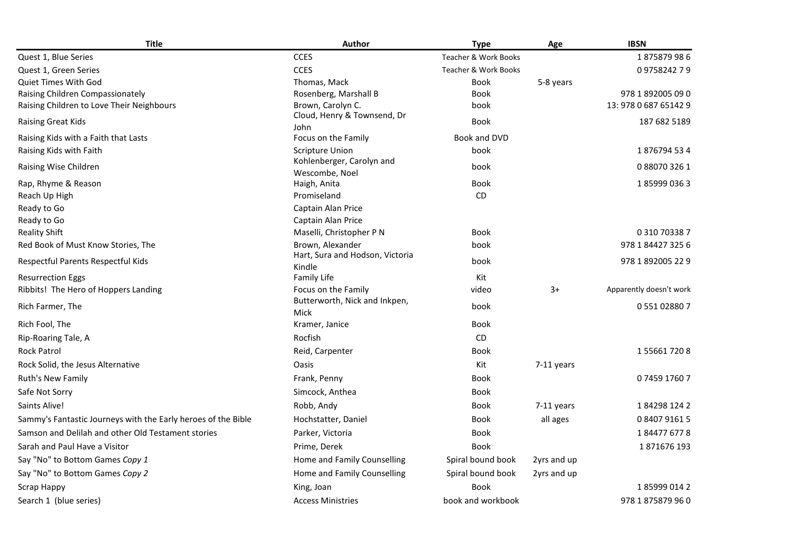| <b>Title</b>                                                  | Author                                      | <b>Type</b>          | Age          | <b>IBSN</b>             |
|---------------------------------------------------------------|---------------------------------------------|----------------------|--------------|-------------------------|
| Quest 1, Blue Series                                          | <b>CCES</b>                                 | Teacher & Work Books |              | 1875879986              |
| Quest 1, Green Series                                         | <b>CCES</b>                                 | Teacher & Work Books |              | 0975824279              |
| <b>Quiet Times With God</b>                                   | Thomas, Mack                                | <b>Book</b>          | 5-8 years    |                         |
| Raising Children Compassionately                              | Rosenberg, Marshall B                       | <b>Book</b>          |              | 978 1 892005 09 0       |
| Raising Children to Love Their Neighbours                     | Brown, Carolyn C.                           | book                 |              | 13: 978 0 687 65142 9   |
| Raising Great Kids                                            | Cloud, Henry & Townsend, Dr<br>John         | <b>Book</b>          |              | 187 682 5189            |
| Raising Kids with a Faith that Lasts                          | Focus on the Family                         | Book and DVD         |              |                         |
| Raising Kids with Faith                                       | <b>Scripture Union</b>                      | book                 |              | 1876794534              |
| Raising Wise Children                                         | Kohlenberger, Carolyn and<br>Wescombe, Noel | book                 |              | 0880703261              |
| Rap, Rhyme & Reason                                           | Haigh, Anita                                | Book                 |              | 1859990363              |
| Reach Up High                                                 | Promiseland                                 | <b>CD</b>            |              |                         |
| Ready to Go                                                   | Captain Alan Price                          |                      |              |                         |
| Ready to Go                                                   | Captain Alan Price                          |                      |              |                         |
| <b>Reality Shift</b>                                          | Maselli, Christopher P N                    | Book                 |              | 0 310 70338 7           |
| Red Book of Must Know Stories, The                            | Brown, Alexander                            | book                 |              | 978 1 84427 325 6       |
| Respectful Parents Respectful Kids                            | Hart, Sura and Hodson, Victoria<br>Kindle   | book                 |              | 978 1 892005 22 9       |
| <b>Resurrection Eggs</b>                                      | Family Life                                 | Kit                  |              |                         |
| Ribbits! The Hero of Hoppers Landing                          | Focus on the Family                         | video                | $3+$         | Apparently doesn't work |
| Rich Farmer, The                                              | Butterworth, Nick and Inkpen,<br>Mick       | book                 |              | 0 551 02880 7           |
| Rich Fool, The                                                | Kramer, Janice                              | Book                 |              |                         |
| Rip-Roaring Tale, A                                           | Rocfish                                     | CD                   |              |                         |
| <b>Rock Patrol</b>                                            | Reid, Carpenter                             | Book                 |              | 1556617208              |
| Rock Solid, the Jesus Alternative                             | <b>Oasis</b>                                | Kit                  | 7-11 years   |                         |
| Ruth's New Family                                             | Frank, Penny                                | Book                 |              | 0745917607              |
| Safe Not Sorry                                                | Simcock, Anthea                             | Book                 |              |                         |
| Saints Alive!                                                 | Robb, Andy                                  | Book                 | $7-11$ years | 1842981242              |
| Sammy's Fantastic Journeys with the Early heroes of the Bible | Hochstatter, Daniel                         | Book                 | all ages     | 0 8407 9161 5           |
| Samson and Delilah and other Old Testament stories            | Parker, Victoria                            | Book                 |              | 1844776778              |
| Sarah and Paul Have a Visitor                                 | Prime, Derek                                | <b>Book</b>          |              | 1871676193              |
| Say "No" to Bottom Games Copy 1                               | Home and Family Counselling                 | Spiral bound book    | 2yrs and up  |                         |
| Say "No" to Bottom Games Copy 2                               | Home and Family Counselling                 | Spiral bound book    | 2yrs and up  |                         |
| Scrap Happy                                                   | King, Joan                                  | <b>Book</b>          |              | 1859990142              |
| Search 1 (blue series)                                        | <b>Access Ministries</b>                    | book and workbook    |              | 978 1 875879 96 0       |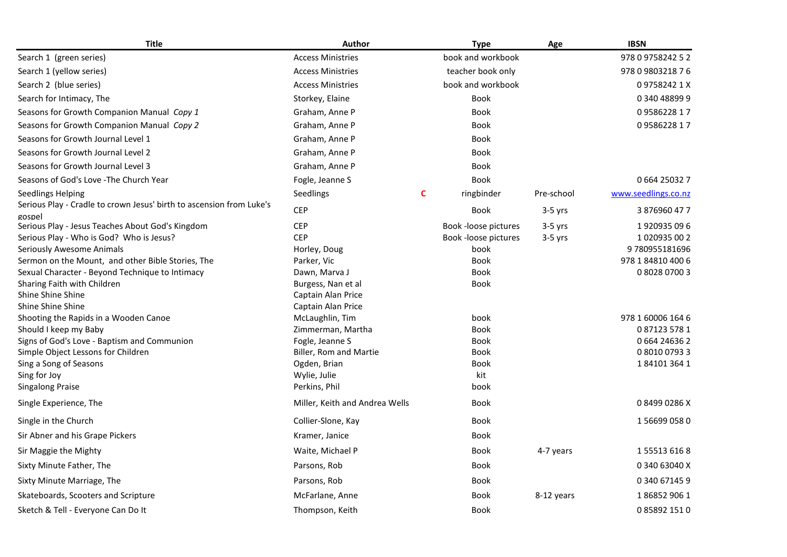| <b>Title</b>                                                         | <b>Author</b>                  |   | <b>Type</b>          | Age        | <b>IBSN</b>         |
|----------------------------------------------------------------------|--------------------------------|---|----------------------|------------|---------------------|
| Search 1 (green series)                                              | <b>Access Ministries</b>       |   | book and workbook    |            | 978 0 9758242 5 2   |
| Search 1 (yellow series)                                             | <b>Access Ministries</b>       |   | teacher book only    |            | 978 0 9803218 7 6   |
| Search 2 (blue series)                                               | <b>Access Ministries</b>       |   | book and workbook    |            | 097582421X          |
| Search for Intimacy, The                                             | Storkey, Elaine                |   | Book                 |            | 0340488999          |
| Seasons for Growth Companion Manual Copy 1                           | Graham, Anne P                 |   | <b>Book</b>          |            | 0958622817          |
| Seasons for Growth Companion Manual Copy 2                           | Graham, Anne P                 |   | <b>Book</b>          |            | 0958622817          |
| Seasons for Growth Journal Level 1                                   | Graham, Anne P                 |   | Book                 |            |                     |
| Seasons for Growth Journal Level 2                                   | Graham, Anne P                 |   | Book                 |            |                     |
| Seasons for Growth Journal Level 3                                   | Graham, Anne P                 |   | Book                 |            |                     |
| Seasons of God's Love - The Church Year                              | Fogle, Jeanne S                |   | <b>Book</b>          |            | 0664250327          |
| <b>Seedlings Helping</b>                                             | Seedlings                      | C | ringbinder           | Pre-school | www.seedlings.co.nz |
| Serious Play - Cradle to crown Jesus' birth to ascension from Luke's |                                |   |                      |            |                     |
| gospel                                                               | <b>CEP</b>                     |   | Book                 | $3-5$ yrs  | 3876960477          |
| Serious Play - Jesus Teaches About God's Kingdom                     | <b>CEP</b>                     |   | Book -loose pictures | $3-5$ yrs  | 1920935096          |
| Serious Play - Who is God? Who is Jesus?                             | <b>CEP</b>                     |   | Book -loose pictures | $3-5$ yrs  | 1020935002          |
| Seriously Awesome Animals                                            | Horley, Doug                   |   | book                 |            | 9780955181696       |
| Sermon on the Mount, and other Bible Stories, The                    | Parker, Vic                    |   | Book                 |            | 978 1 84810 400 6   |
| Sexual Character - Beyond Technique to Intimacy                      | Dawn, Marva J                  |   | Book                 |            | 0802807003          |
| Sharing Faith with Children                                          | Burgess, Nan et al             |   | Book                 |            |                     |
| Shine Shine Shine                                                    | Captain Alan Price             |   |                      |            |                     |
| Shine Shine Shine                                                    | Captain Alan Price             |   |                      |            |                     |
| Shooting the Rapids in a Wooden Canoe                                | McLaughlin, Tim                |   | book                 |            | 978 1 60006 164 6   |
| Should I keep my Baby                                                | Zimmerman, Martha              |   | <b>Book</b>          |            | 0871235781          |
| Signs of God's Love - Baptism and Communion                          | Fogle, Jeanne S                |   | Book                 |            | 0 664 24636 2       |
| Simple Object Lessons for Children                                   | Biller, Rom and Martie         |   | Book                 |            | 0 8010 0793 3       |
| Sing a Song of Seasons                                               | Ogden, Brian                   |   | <b>Book</b>          |            | 1841013641          |
| Sing for Joy                                                         | Wylie, Julie                   |   | kit                  |            |                     |
| <b>Singalong Praise</b>                                              | Perkins, Phil                  |   | book                 |            |                     |
| Single Experience, The                                               | Miller, Keith and Andrea Wells |   | <b>Book</b>          |            | 084990286X          |
| Single in the Church                                                 | Collier-Slone, Kay             |   | Book                 |            | 1566990580          |
| Sir Abner and his Grape Pickers                                      | Kramer, Janice                 |   | Book                 |            |                     |
| Sir Maggie the Mighty                                                | Waite, Michael P               |   | Book                 | 4-7 years  | 1555136168          |
| Sixty Minute Father, The                                             | Parsons, Rob                   |   | Book                 |            | 0 340 63040 X       |
| Sixty Minute Marriage, The                                           | Parsons, Rob                   |   | Book                 |            | 0 340 67145 9       |
| Skateboards, Scooters and Scripture                                  | McFarlane, Anne                |   | Book                 | 8-12 years | 1868529061          |
| Sketch & Tell - Everyone Can Do It                                   | Thompson, Keith                |   | Book                 |            | 0858921510          |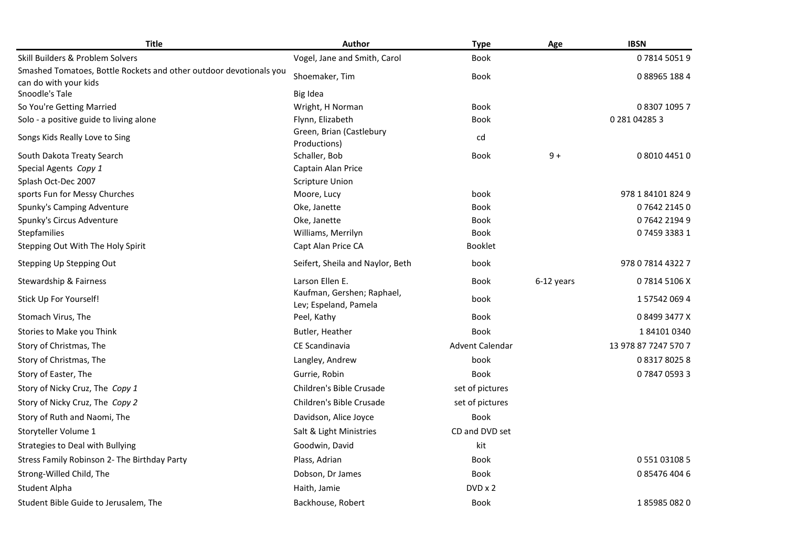| <b>Title</b>                                                       | Author                                              | <b>Type</b>     | Age        | <b>IBSN</b>          |
|--------------------------------------------------------------------|-----------------------------------------------------|-----------------|------------|----------------------|
| Skill Builders & Problem Solvers                                   | Vogel, Jane and Smith, Carol                        | Book            |            | 0781450519           |
| Smashed Tomatoes, Bottle Rockets and other outdoor devotionals you | Shoemaker, Tim                                      | <b>Book</b>     |            | 0889651884           |
| can do with your kids                                              |                                                     |                 |            |                      |
| Snoodle's Tale                                                     | Big Idea                                            |                 |            |                      |
| So You're Getting Married                                          | Wright, H Norman                                    | Book            |            | 0 8307 1095 7        |
| Solo - a positive guide to living alone                            | Flynn, Elizabeth                                    | Book            |            | 0 281 04285 3        |
| Songs Kids Really Love to Sing                                     | Green, Brian (Castlebury                            | cd              |            |                      |
| South Dakota Treaty Search                                         | Productions)<br>Schaller, Bob                       | Book            | $9+$       | 0 8010 4451 0        |
| Special Agents Copy 1                                              | Captain Alan Price                                  |                 |            |                      |
| Splash Oct-Dec 2007                                                | <b>Scripture Union</b>                              |                 |            |                      |
| sports Fun for Messy Churches                                      | Moore, Lucy                                         | book            |            | 978 1 84101 824 9    |
| Spunky's Camping Adventure                                         | Oke, Janette                                        | Book            |            | 0764221450           |
| Spunky's Circus Adventure                                          | Oke, Janette                                        | Book            |            | 0764221949           |
| <b>Stepfamilies</b>                                                | Williams, Merrilyn                                  | <b>Book</b>     |            | 0745933831           |
| Stepping Out With The Holy Spirit                                  | Capt Alan Price CA                                  | Booklet         |            |                      |
| Stepping Up Stepping Out                                           | Seifert, Sheila and Naylor, Beth                    | book            |            | 978 0 7814 4322 7    |
| Stewardship & Fairness                                             | Larson Ellen E.                                     | Book            | 6-12 years | 078145106X           |
| Stick Up For Yourself!                                             | Kaufman, Gershen; Raphael,<br>Lev; Espeland, Pamela | book            |            | 1575420694           |
| Stomach Virus, The                                                 | Peel, Kathy                                         | Book            |            | 084993477X           |
| Stories to Make you Think                                          | Butler, Heather                                     | <b>Book</b>     |            | 1841010340           |
| Story of Christmas, The                                            | CE Scandinavia                                      | Advent Calendar |            | 13 978 87 7247 570 7 |
| Story of Christmas, The                                            | Langley, Andrew                                     | book            |            | 0831780258           |
| Story of Easter, The                                               | Gurrie, Robin                                       | <b>Book</b>     |            | 0784705933           |
| Story of Nicky Cruz, The Copy 1                                    | Children's Bible Crusade                            | set of pictures |            |                      |
| Story of Nicky Cruz, The Copy 2                                    | Children's Bible Crusade                            | set of pictures |            |                      |
| Story of Ruth and Naomi, The                                       | Davidson, Alice Joyce                               | <b>Book</b>     |            |                      |
| Storyteller Volume 1                                               | Salt & Light Ministries                             | CD and DVD set  |            |                      |
| Strategies to Deal with Bullying                                   | Goodwin, David                                      | kit             |            |                      |
| Stress Family Robinson 2- The Birthday Party                       | Plass, Adrian                                       | Book            |            | 0 551 03108 5        |
| Strong-Willed Child, The                                           | Dobson, Dr James                                    | Book            |            | 0854764046           |
| Student Alpha                                                      | Haith, Jamie                                        | DVD x 2         |            |                      |
| Student Bible Guide to Jerusalem, The                              | Backhouse, Robert                                   | Book            |            | 1859850820           |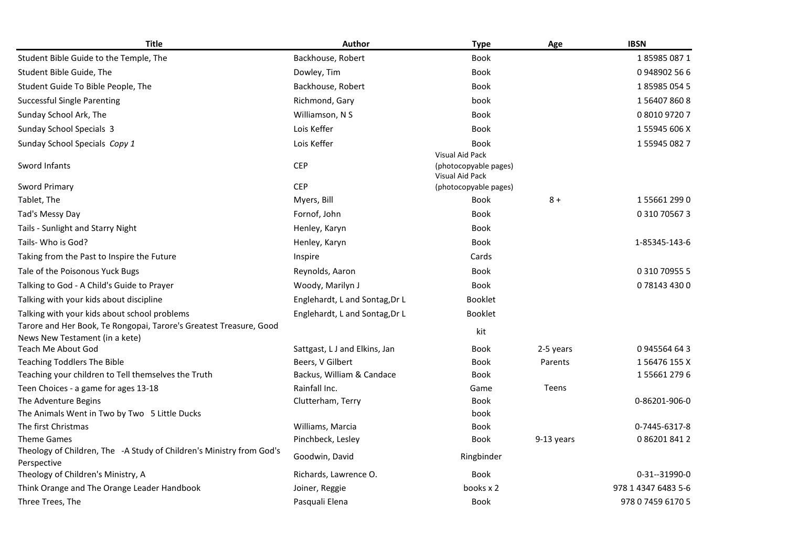| <b>Title</b>                                                                                              | Author                              | <b>Type</b>                                                 | Age        | <b>IBSN</b>         |
|-----------------------------------------------------------------------------------------------------------|-------------------------------------|-------------------------------------------------------------|------------|---------------------|
| Student Bible Guide to the Temple, The                                                                    | Backhouse, Robert                   | <b>Book</b>                                                 |            | 1859850871          |
| Student Bible Guide, The                                                                                  | Dowley, Tim                         | Book                                                        |            | 0948902566          |
| Student Guide To Bible People, The                                                                        | Backhouse, Robert                   | Book                                                        |            | 1859850545          |
| <b>Successful Single Parenting</b>                                                                        | Richmond, Gary                      | book                                                        |            | 1564078608          |
| Sunday School Ark, The                                                                                    | Williamson, N S                     | Book                                                        |            | 0 8010 9720 7       |
| Sunday School Specials 3                                                                                  | Lois Keffer                         | Book                                                        |            | 1 55945 606 X       |
| Sunday School Specials Copy 1                                                                             | Lois Keffer                         | <b>Book</b>                                                 |            | 1559450827          |
| Sword Infants                                                                                             | <b>CEP</b>                          | Visual Aid Pack<br>(photocopyable pages)<br>Visual Aid Pack |            |                     |
| <b>Sword Primary</b>                                                                                      | <b>CEP</b>                          | (photocopyable pages)                                       |            |                     |
| Tablet, The                                                                                               | Myers, Bill                         | <b>Book</b>                                                 | $8+$       | 1556612990          |
| Tad's Messy Day                                                                                           | Fornof, John                        | <b>Book</b>                                                 |            | 0 310 70567 3       |
| Tails - Sunlight and Starry Night                                                                         | Henley, Karyn                       | Book                                                        |            |                     |
| Tails- Who is God?                                                                                        | Henley, Karyn                       | <b>Book</b>                                                 |            | 1-85345-143-6       |
| Taking from the Past to Inspire the Future                                                                | Inspire                             | Cards                                                       |            |                     |
| Tale of the Poisonous Yuck Bugs                                                                           | Reynolds, Aaron                     | <b>Book</b>                                                 |            | 0 310 70955 5       |
| Talking to God - A Child's Guide to Prayer                                                                | Woody, Marilyn J                    | <b>Book</b>                                                 |            | 0781434300          |
| Talking with your kids about discipline                                                                   | Englehardt, L and Sontag, Dr L      | <b>Booklet</b>                                              |            |                     |
| Talking with your kids about school problems                                                              | Englehardt, L and Sontag, Dr L      | <b>Booklet</b>                                              |            |                     |
| Tarore and Her Book, Te Rongopai, Tarore's Greatest Treasure, Good<br>News New Testament (in a kete)      |                                     | kit                                                         |            |                     |
| Teach Me About God                                                                                        | Sattgast, L J and Elkins, Jan       | Book                                                        | 2-5 years  | 0945564643          |
| <b>Teaching Toddlers The Bible</b>                                                                        | Beers, V Gilbert                    | Book                                                        | Parents    | 156476155X          |
| Teaching your children to Tell themselves the Truth                                                       | Backus, William & Candace           | <b>Book</b>                                                 |            | 1556612796          |
| Teen Choices - a game for ages 13-18                                                                      | Rainfall Inc.                       | Game                                                        | Teens      |                     |
| The Adventure Begins                                                                                      | Clutterham, Terry                   | <b>Book</b>                                                 |            | 0-86201-906-0       |
| The Animals Went in Two by Two 5 Little Ducks                                                             |                                     | book                                                        |            |                     |
| The first Christmas                                                                                       | Williams, Marcia                    | Book                                                        |            | 0-7445-6317-8       |
| <b>Theme Games</b><br>Theology of Children, The -A Study of Children's Ministry from God's<br>Perspective | Pinchbeck, Lesley<br>Goodwin, David | Book<br>Ringbinder                                          | 9-13 years | 0862018412          |
| Theology of Children's Ministry, A                                                                        | Richards, Lawrence O.               | Book                                                        |            | 0-31--31990-0       |
| Think Orange and The Orange Leader Handbook                                                               | Joiner, Reggie                      | books x 2                                                   |            | 978 1 4347 6483 5-6 |
| Three Trees, The                                                                                          | Pasquali Elena                      | <b>Book</b>                                                 |            | 978 0 7459 6170 5   |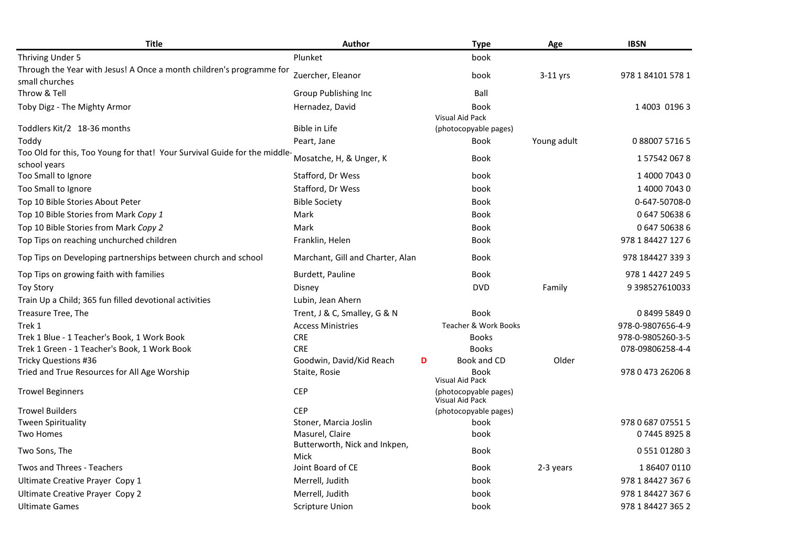| <b>Title</b>                                                                              | Author                                | <b>Type</b>                              | Age         | <b>IBSN</b>       |
|-------------------------------------------------------------------------------------------|---------------------------------------|------------------------------------------|-------------|-------------------|
| Thriving Under 5                                                                          | Plunket                               | book                                     |             |                   |
| Through the Year with Jesus! A Once a month children's programme for<br>small churches    | Zuercher, Eleanor                     | book                                     | 3-11 yrs    | 978 1 84101 578 1 |
| Throw & Tell                                                                              | Group Publishing Inc                  | Ball                                     |             |                   |
| Toby Digz - The Mighty Armor                                                              | Hernadez, David                       | Book<br><b>Visual Aid Pack</b>           |             | 1 4003 0196 3     |
| Toddlers Kit/2 18-36 months                                                               | Bible in Life                         | (photocopyable pages)                    |             |                   |
| Toddy                                                                                     | Peart, Jane                           | Book                                     | Young adult | 08800757165       |
| Too Old for this, Too Young for that! Your Survival Guide for the middle-<br>school years | Mosatche, H, & Unger, K               | Book                                     |             | 1575420678        |
| Too Small to Ignore                                                                       | Stafford, Dr Wess                     | book                                     |             | 1400070430        |
| Too Small to Ignore                                                                       | Stafford, Dr Wess                     | book                                     |             | 1 4000 7043 0     |
| Top 10 Bible Stories About Peter                                                          | <b>Bible Society</b>                  | <b>Book</b>                              |             | 0-647-50708-0     |
| Top 10 Bible Stories from Mark Copy 1                                                     | Mark                                  | Book                                     |             | 0647506386        |
| Top 10 Bible Stories from Mark Copy 2                                                     | Mark                                  | <b>Book</b>                              |             | 0647506386        |
| Top Tips on reaching unchurched children                                                  | Franklin, Helen                       | Book                                     |             | 978 1 84427 127 6 |
| Top Tips on Developing partnerships between church and school                             | Marchant, Gill and Charter, Alan      | Book                                     |             | 978 184427 339 3  |
| Top Tips on growing faith with families                                                   | Burdett, Pauline                      | Book                                     |             | 978 1 4427 249 5  |
| <b>Toy Story</b>                                                                          | Disney                                | <b>DVD</b>                               | Family      | 9 398527610033    |
| Train Up a Child; 365 fun filled devotional activities                                    | Lubin, Jean Ahern                     |                                          |             |                   |
| Treasure Tree, The                                                                        | Trent, J & C, Smalley, G & N          | Book                                     |             | 0849958490        |
| Trek 1                                                                                    | <b>Access Ministries</b>              | Teacher & Work Books                     |             | 978-0-9807656-4-9 |
| Trek 1 Blue - 1 Teacher's Book, 1 Work Book                                               | <b>CRE</b>                            | <b>Books</b>                             |             | 978-0-9805260-3-5 |
| Trek 1 Green - 1 Teacher's Book, 1 Work Book                                              | <b>CRE</b>                            | <b>Books</b>                             |             | 078-09806258-4-4  |
| <b>Tricky Questions #36</b>                                                               | Goodwin, David/Kid Reach<br>D         | Book and CD                              | Older       |                   |
| Tried and True Resources for All Age Worship                                              | Staite, Rosie                         | <b>Book</b><br>Visual Aid Pack           |             | 978 0 473 26206 8 |
| <b>Trowel Beginners</b>                                                                   | <b>CEP</b>                            | (photocopyable pages)<br>Visual Aid Pack |             |                   |
| <b>Trowel Builders</b>                                                                    | <b>CEP</b>                            | (photocopyable pages)                    |             |                   |
| <b>Tween Spirituality</b>                                                                 | Stoner, Marcia Joslin                 | book                                     |             | 978 0 687 07551 5 |
| Two Homes                                                                                 | Masurel, Claire                       | book                                     |             | 0744589258        |
| Two Sons, The                                                                             | Butterworth, Nick and Inkpen,<br>Mick | Book                                     |             | 0 551 01280 3     |
| Twos and Threes - Teachers                                                                | Joint Board of CE                     | Book                                     | 2-3 years   | 1864070110        |
| Ultimate Creative Prayer Copy 1                                                           | Merrell, Judith                       | book                                     |             | 978 1 84427 367 6 |
| Ultimate Creative Prayer Copy 2                                                           | Merrell, Judith                       | book                                     |             | 978 1 84427 367 6 |
| <b>Ultimate Games</b>                                                                     | <b>Scripture Union</b>                | book                                     |             | 978 1 84427 365 2 |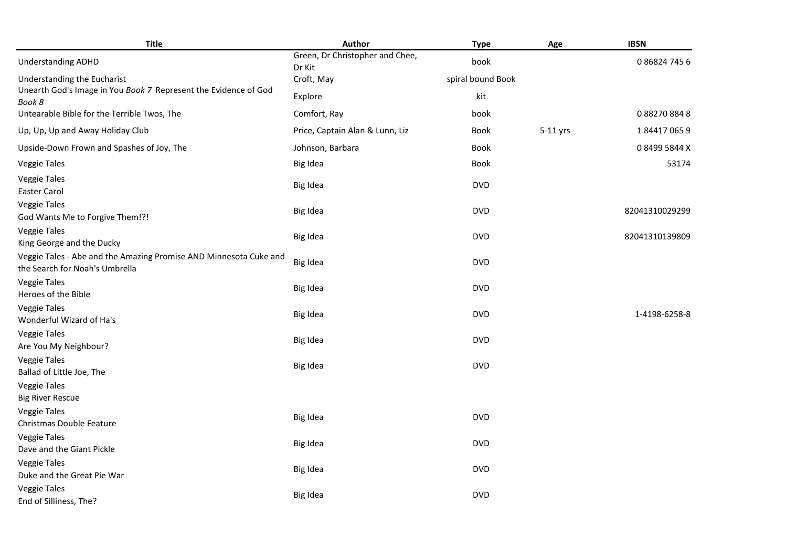| <b>Title</b>                                                                                        | Author                                    | <b>Type</b>       | Age      | <b>IBSN</b>    |
|-----------------------------------------------------------------------------------------------------|-------------------------------------------|-------------------|----------|----------------|
| <b>Understanding ADHD</b>                                                                           | Green, Dr Christopher and Chee,<br>Dr Kit | book              |          | 0868247456     |
| Understanding the Eucharist                                                                         | Croft, May                                | spiral bound Book |          |                |
| Unearth God's Image in You Book 7 Represent the Evidence of God                                     | Explore                                   | kit               |          |                |
| Book 8<br>Untearable Bible for the Terrible Twos, The                                               | Comfort, Ray                              | book              |          | 0882708848     |
| Up, Up, Up and Away Holiday Club                                                                    | Price, Captain Alan & Lunn, Liz           | <b>Book</b>       | 5-11 yrs | 1844170659     |
| Upside-Down Frown and Spashes of Joy, The                                                           | Johnson, Barbara                          | Book              |          | 084995844X     |
| <b>Veggie Tales</b>                                                                                 | Big Idea                                  | Book              |          | 53174          |
| <b>Veggie Tales</b><br>Easter Carol                                                                 | Big Idea                                  | <b>DVD</b>        |          |                |
| Veggie Tales<br>God Wants Me to Forgive Them!?!                                                     | Big Idea                                  | <b>DVD</b>        |          | 82041310029299 |
| <b>Veggie Tales</b><br>King George and the Ducky                                                    | Big Idea                                  | <b>DVD</b>        |          | 82041310139809 |
| Veggie Tales - Abe and the Amazing Promise AND Minnesota Cuke and<br>the Search for Noah's Umbrella | Big Idea                                  | <b>DVD</b>        |          |                |
| <b>Veggie Tales</b><br>Heroes of the Bible                                                          | Big Idea                                  | <b>DVD</b>        |          |                |
| <b>Veggie Tales</b><br>Wonderful Wizard of Ha's                                                     | Big Idea                                  | <b>DVD</b>        |          | 1-4198-6258-8  |
| <b>Veggie Tales</b><br>Are You My Neighbour?                                                        | Big Idea                                  | <b>DVD</b>        |          |                |
| <b>Veggie Tales</b><br>Ballad of Little Joe, The                                                    | Big Idea                                  | <b>DVD</b>        |          |                |
| <b>Veggie Tales</b><br><b>Big River Rescue</b>                                                      |                                           |                   |          |                |
| <b>Veggie Tales</b><br>Christmas Double Feature                                                     | Big Idea                                  | <b>DVD</b>        |          |                |
| <b>Veggie Tales</b><br>Dave and the Giant Pickle                                                    | Big Idea                                  | <b>DVD</b>        |          |                |
| <b>Veggie Tales</b><br>Duke and the Great Pie War                                                   | Big Idea                                  | <b>DVD</b>        |          |                |
| <b>Veggie Tales</b><br>End of Silliness, The?                                                       | Big Idea                                  | <b>DVD</b>        |          |                |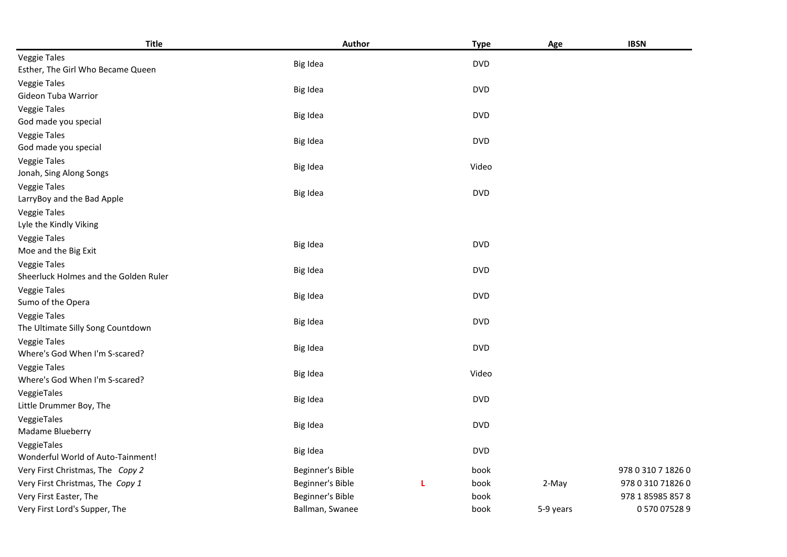| <b>Title</b>                                  | Author           |   | <b>Type</b> | Age       | <b>IBSN</b>        |
|-----------------------------------------------|------------------|---|-------------|-----------|--------------------|
| <b>Veggie Tales</b>                           | Big Idea         |   | <b>DVD</b>  |           |                    |
| Esther, The Girl Who Became Queen             |                  |   |             |           |                    |
| <b>Veggie Tales</b>                           | Big Idea         |   | <b>DVD</b>  |           |                    |
| Gideon Tuba Warrior                           |                  |   |             |           |                    |
| <b>Veggie Tales</b>                           | Big Idea         |   | <b>DVD</b>  |           |                    |
| God made you special                          |                  |   |             |           |                    |
| <b>Veggie Tales</b>                           | Big Idea         |   | <b>DVD</b>  |           |                    |
| God made you special                          |                  |   |             |           |                    |
| <b>Veggie Tales</b>                           | Big Idea         |   | Video       |           |                    |
| Jonah, Sing Along Songs                       |                  |   |             |           |                    |
| <b>Veggie Tales</b>                           | Big Idea         |   | <b>DVD</b>  |           |                    |
| LarryBoy and the Bad Apple                    |                  |   |             |           |                    |
| <b>Veggie Tales</b>                           |                  |   |             |           |                    |
| Lyle the Kindly Viking<br><b>Veggie Tales</b> |                  |   |             |           |                    |
| Moe and the Big Exit                          | Big Idea         |   | <b>DVD</b>  |           |                    |
| <b>Veggie Tales</b>                           |                  |   |             |           |                    |
| Sheerluck Holmes and the Golden Ruler         | Big Idea         |   | <b>DVD</b>  |           |                    |
| <b>Veggie Tales</b>                           |                  |   |             |           |                    |
| Sumo of the Opera                             | Big Idea         |   | <b>DVD</b>  |           |                    |
| <b>Veggie Tales</b>                           |                  |   |             |           |                    |
| The Ultimate Silly Song Countdown             | Big Idea         |   | <b>DVD</b>  |           |                    |
| <b>Veggie Tales</b>                           |                  |   | <b>DVD</b>  |           |                    |
| Where's God When I'm S-scared?                | Big Idea         |   |             |           |                    |
| <b>Veggie Tales</b>                           | Big Idea         |   | Video       |           |                    |
| Where's God When I'm S-scared?                |                  |   |             |           |                    |
| VeggieTales                                   | Big Idea         |   | <b>DVD</b>  |           |                    |
| Little Drummer Boy, The                       |                  |   |             |           |                    |
| VeggieTales                                   | Big Idea         |   | <b>DVD</b>  |           |                    |
| Madame Blueberry                              |                  |   |             |           |                    |
| VeggieTales                                   | Big Idea         |   | <b>DVD</b>  |           |                    |
| Wonderful World of Auto-Tainment!             |                  |   |             |           |                    |
| Very First Christmas, The Copy 2              | Beginner's Bible |   | book        |           | 978 0 310 7 1826 0 |
| Very First Christmas, The Copy 1              | Beginner's Bible | L | book        | 2-May     | 978 0 310 71826 0  |
| Very First Easter, The                        | Beginner's Bible |   | book        |           | 978 1 85985 857 8  |
| Very First Lord's Supper, The                 | Ballman, Swanee  |   | book        | 5-9 years | 0570075289         |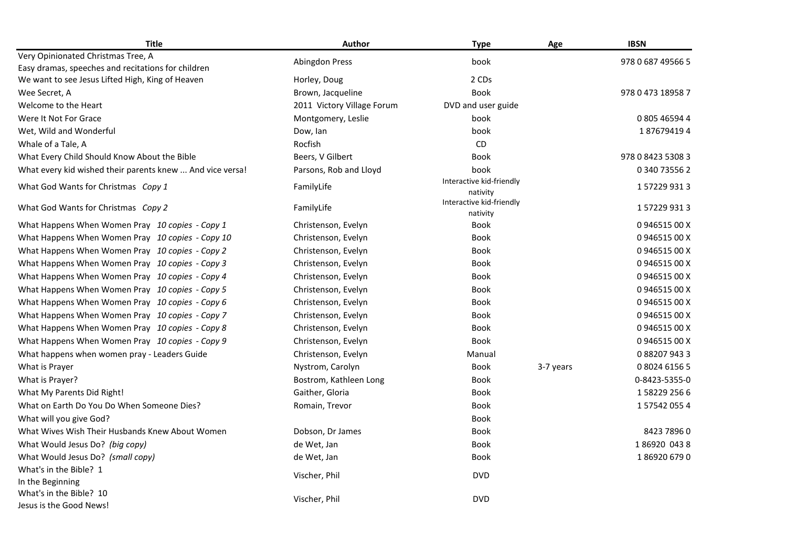| <b>Title</b>                                                                                           | Author                     | <b>Type</b>                          | Age       | <b>IBSN</b>       |
|--------------------------------------------------------------------------------------------------------|----------------------------|--------------------------------------|-----------|-------------------|
| Very Opinionated Christmas Tree, A                                                                     | <b>Abingdon Press</b>      | book                                 |           | 978 0 687 49566 5 |
| Easy dramas, speeches and recitations for children<br>We want to see Jesus Lifted High, King of Heaven | Horley, Doug               | 2 CDs                                |           |                   |
| Wee Secret, A                                                                                          | Brown, Jacqueline          | <b>Book</b>                          |           | 978 0 473 18958 7 |
| Welcome to the Heart                                                                                   | 2011 Victory Village Forum | DVD and user guide                   |           |                   |
| Were It Not For Grace                                                                                  | Montgomery, Leslie         | book                                 |           | 0 805 46594 4     |
| Wet, Wild and Wonderful                                                                                | Dow, lan                   | book                                 |           | 1876794194        |
| Whale of a Tale, A                                                                                     | Rocfish                    | <b>CD</b>                            |           |                   |
| What Every Child Should Know About the Bible                                                           | Beers, V Gilbert           | <b>Book</b>                          |           | 978 0 8423 5308 3 |
| What every kid wished their parents knew  And vice versa!                                              | Parsons, Rob and Lloyd     | book                                 |           | 0 340 73556 2     |
| What God Wants for Christmas Copy 1                                                                    | FamilyLife                 | Interactive kid-friendly<br>nativity |           | 1572299313        |
| What God Wants for Christmas Copy 2                                                                    | FamilyLife                 | Interactive kid-friendly<br>nativity |           | 1572299313        |
| What Happens When Women Pray 10 copies - Copy 1                                                        | Christenson, Evelyn        | Book                                 |           | 094651500X        |
| What Happens When Women Pray 10 copies - Copy 10                                                       | Christenson, Evelyn        | <b>Book</b>                          |           | 094651500X        |
| What Happens When Women Pray 10 copies - Copy 2                                                        | Christenson, Evelyn        | <b>Book</b>                          |           | 094651500X        |
| What Happens When Women Pray 10 copies - Copy 3                                                        | Christenson, Evelyn        | <b>Book</b>                          |           | 094651500X        |
| What Happens When Women Pray 10 copies - Copy 4                                                        | Christenson, Evelyn        | <b>Book</b>                          |           | 094651500X        |
| What Happens When Women Pray 10 copies - Copy 5                                                        | Christenson, Evelyn        | <b>Book</b>                          |           | 094651500X        |
| What Happens When Women Pray 10 copies - Copy 6                                                        | Christenson, Evelyn        | <b>Book</b>                          |           | 094651500X        |
| What Happens When Women Pray 10 copies - Copy 7                                                        | Christenson, Evelyn        | <b>Book</b>                          |           | 094651500X        |
| What Happens When Women Pray 10 copies - Copy 8                                                        | Christenson, Evelyn        | <b>Book</b>                          |           | 094651500X        |
| What Happens When Women Pray 10 copies - Copy 9                                                        | Christenson, Evelyn        | <b>Book</b>                          |           | 094651500X        |
| What happens when women pray - Leaders Guide                                                           | Christenson, Evelyn        | Manual                               |           | 0882079433        |
| What is Prayer                                                                                         | Nystrom, Carolyn           | <b>Book</b>                          | 3-7 years | 0802461565        |
| What is Prayer?                                                                                        | Bostrom, Kathleen Long     | <b>Book</b>                          |           | 0-8423-5355-0     |
| What My Parents Did Right!                                                                             | Gaither, Gloria            | <b>Book</b>                          |           | 1582292566        |
| What on Earth Do You Do When Someone Dies?                                                             | Romain, Trevor             | <b>Book</b>                          |           | 1575420554        |
| What will you give God?                                                                                |                            | Book                                 |           |                   |
| What Wives Wish Their Husbands Knew About Women                                                        | Dobson, Dr James           | Book                                 |           | 8423 7896 0       |
| What Would Jesus Do? (big copy)                                                                        | de Wet, Jan                | <b>Book</b>                          |           | 186920 0438       |
| What Would Jesus Do? (small copy)                                                                      | de Wet, Jan                | <b>Book</b>                          |           | 1869206790        |
| What's in the Bible? 1                                                                                 | Vischer, Phil              | <b>DVD</b>                           |           |                   |
| In the Beginning<br>What's in the Bible? 10                                                            | Vischer, Phil              | <b>DVD</b>                           |           |                   |
| Jesus is the Good News!                                                                                |                            |                                      |           |                   |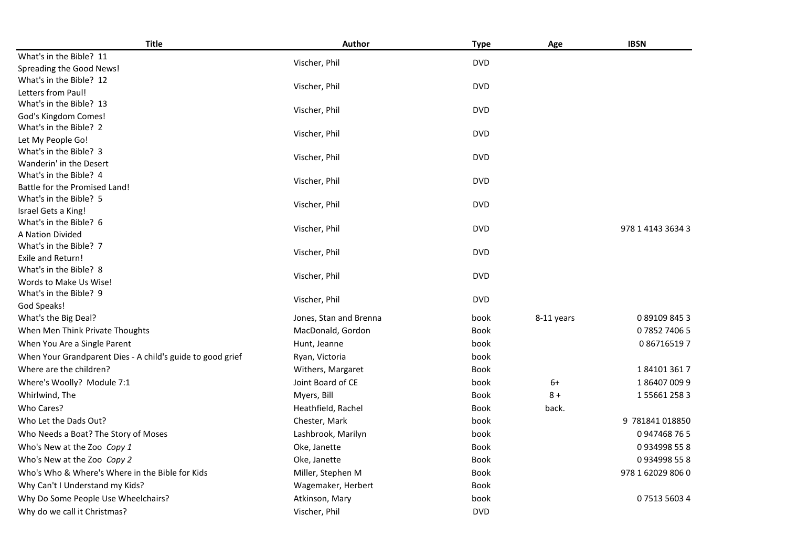| <b>Title</b>                                                                          | Author                 | <b>Type</b>         | Age        | <b>IBSN</b>       |
|---------------------------------------------------------------------------------------|------------------------|---------------------|------------|-------------------|
| What's in the Bible? 11                                                               | Vischer, Phil          | <b>DVD</b>          |            |                   |
| Spreading the Good News!                                                              |                        |                     |            |                   |
| What's in the Bible? 12                                                               | Vischer, Phil          | <b>DVD</b>          |            |                   |
| Letters from Paul!                                                                    |                        |                     |            |                   |
| What's in the Bible? 13                                                               | Vischer, Phil          | <b>DVD</b>          |            |                   |
| God's Kingdom Comes!                                                                  |                        |                     |            |                   |
| What's in the Bible? 2                                                                | Vischer, Phil          | <b>DVD</b>          |            |                   |
| Let My People Go!                                                                     |                        |                     |            |                   |
| What's in the Bible? 3                                                                | Vischer, Phil          | <b>DVD</b>          |            |                   |
| Wanderin' in the Desert                                                               |                        |                     |            |                   |
| What's in the Bible? 4                                                                | Vischer, Phil          | <b>DVD</b>          |            |                   |
| Battle for the Promised Land!                                                         |                        |                     |            |                   |
| What's in the Bible? 5                                                                | Vischer, Phil          | <b>DVD</b>          |            |                   |
| Israel Gets a King!                                                                   |                        |                     |            |                   |
| What's in the Bible? 6                                                                | Vischer, Phil          | <b>DVD</b>          |            | 978 1 4143 3634 3 |
| A Nation Divided                                                                      |                        |                     |            |                   |
| What's in the Bible? 7                                                                | Vischer, Phil          | <b>DVD</b>          |            |                   |
| Exile and Return!                                                                     |                        |                     |            |                   |
| What's in the Bible? 8                                                                | Vischer, Phil          | <b>DVD</b>          |            |                   |
| Words to Make Us Wise!<br>What's in the Bible? 9                                      |                        |                     |            |                   |
| God Speaks!                                                                           | Vischer, Phil          | <b>DVD</b>          |            |                   |
| What's the Big Deal?                                                                  | Jones, Stan and Brenna | book                | 8-11 years | 0891098453        |
| When Men Think Private Thoughts                                                       | MacDonald, Gordon      | <b>Book</b>         |            | 0785274065        |
| When You Are a Single Parent                                                          | Hunt, Jeanne           | book                |            | 0867165197        |
|                                                                                       |                        |                     |            |                   |
| When Your Grandparent Dies - A child's guide to good grief<br>Where are the children? | Ryan, Victoria         | book<br><b>Book</b> |            | 1841013617        |
|                                                                                       | Withers, Margaret      |                     |            |                   |
| Where's Woolly? Module 7:1                                                            | Joint Board of CE      | book                | $6+$       | 1864070099        |
| Whirlwind, The                                                                        | Myers, Bill            | <b>Book</b>         | $8+$       | 1556612583        |
| Who Cares?                                                                            | Heathfield, Rachel     | <b>Book</b>         | back.      |                   |
| Who Let the Dads Out?                                                                 | Chester, Mark          | book                |            | 9 781841 018850   |
| Who Needs a Boat? The Story of Moses                                                  | Lashbrook, Marilyn     | book                |            | 0947468765        |
| Who's New at the Zoo Copy 1                                                           | Oke, Janette           | <b>Book</b>         |            | 0934998558        |
| Who's New at the Zoo Copy 2                                                           | Oke, Janette           | <b>Book</b>         |            | 0934998558        |
| Who's Who & Where's Where in the Bible for Kids                                       | Miller, Stephen M      | <b>Book</b>         |            | 978 1 62029 806 0 |
| Why Can't I Understand my Kids?                                                       | Wagemaker, Herbert     | <b>Book</b>         |            |                   |
| Why Do Some People Use Wheelchairs?                                                   | Atkinson, Mary         | book                |            | 0751356034        |
| Why do we call it Christmas?                                                          | Vischer, Phil          | <b>DVD</b>          |            |                   |